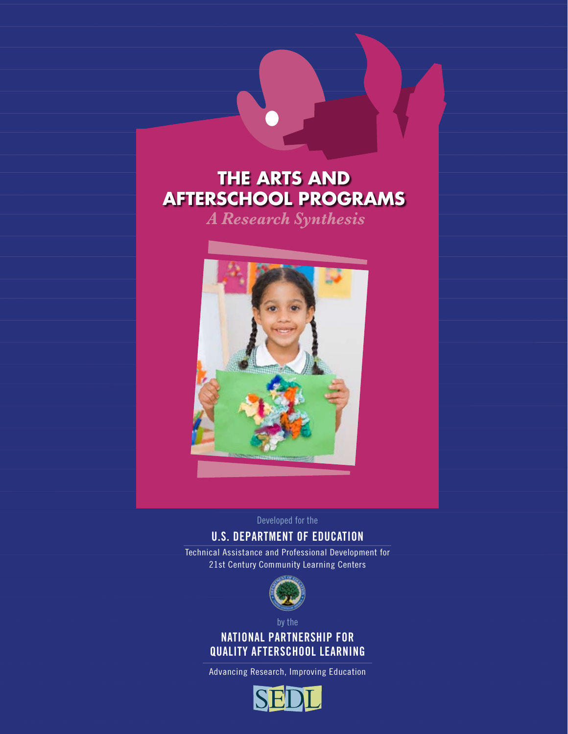# **The Arts and Afterschool Programs**

*A Research Synthesis*



Developed for the

# **u.s. Department of education**

Technical Assistance and Professional Development for 21st Century Community Learning Centers



by the

# **national partnership for Quality Afterschool learning**

Advancing Research, Improving Education

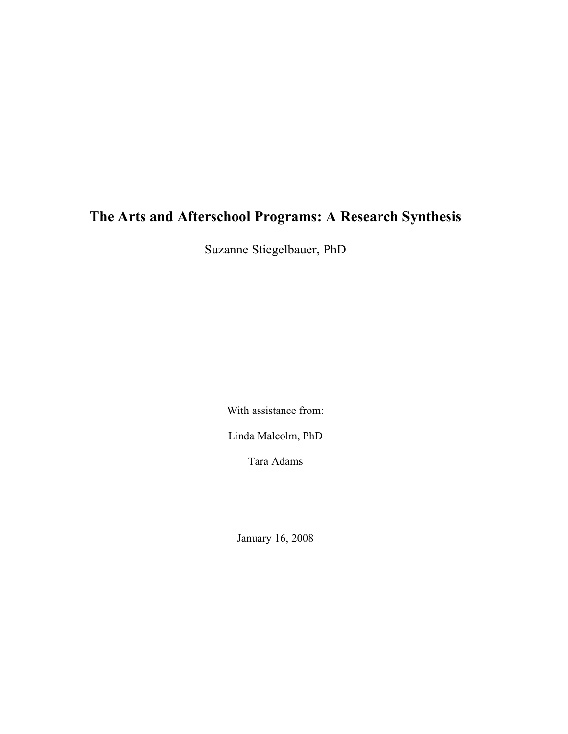Suzanne Stiegelbauer, PhD

With assistance from:

Linda Malcolm, PhD

Tara Adams

January 16, 2008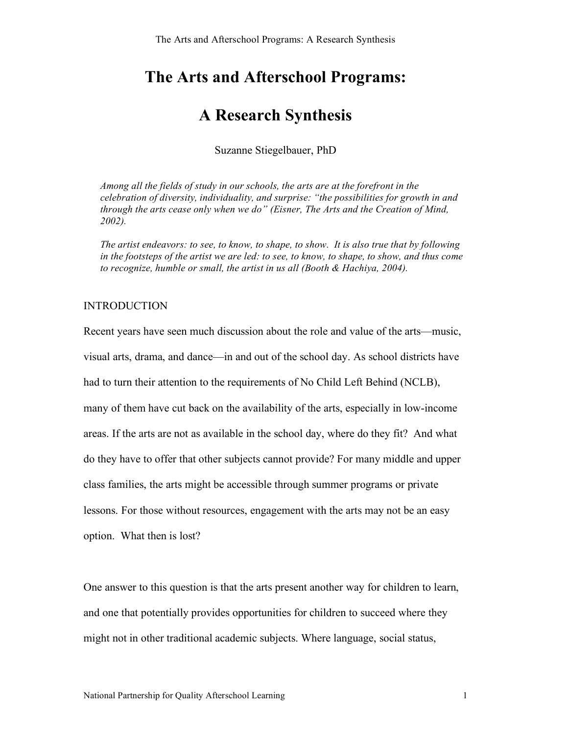# **The Arts and Afterschool Programs:**

# **A Research Synthesis**

Suzanne Stiegelbauer, PhD

*Among all the fields of study in our schools, the arts are at the forefront in the celebration of diversity, individuality, and surprise: "the possibilities for growth in and through the arts cease only when we do" (Eisner, The Arts and the Creation of Mind, 2002).*

*The artist endeavors: to see, to know, to shape, to show. It is also true that by following in the footsteps of the artist we are led: to see, to know, to shape, to show, and thus come to recognize, humble or small, the artist in us all (Booth & Hachiya, 2004).*

## **INTRODUCTION**

Recent years have seen much discussion about the role and value of the arts—music, visual arts, drama, and dance—in and out of the school day. As school districts have had to turn their attention to the requirements of No Child Left Behind (NCLB), many of them have cut back on the availability of the arts, especially in low-income areas. If the arts are not as available in the school day, where do they fit? And what do they have to offer that other subjects cannot provide? For many middle and upper class families, the arts might be accessible through summer programs or private lessons. For those without resources, engagement with the arts may not be an easy option. What then is lost?

One answer to this question is that the arts present another way for children to learn, and one that potentially provides opportunities for children to succeed where they might not in other traditional academic subjects. Where language, social status,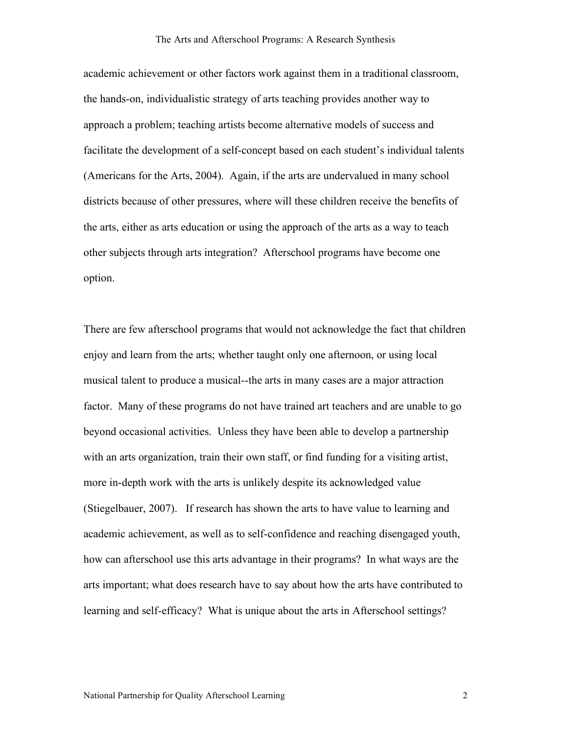academic achievement or other factors work against them in a traditional classroom, the hands-on, individualistic strategy of arts teaching provides another way to approach a problem; teaching artists become alternative models of success and facilitate the development of a self-concept based on each student's individual talents (Americans for the Arts, 2004). Again, if the arts are undervalued in many school districts because of other pressures, where will these children receive the benefits of the arts, either as arts education or using the approach of the arts as a way to teach other subjects through arts integration? Afterschool programs have become one option.

There are few afterschool programs that would not acknowledge the fact that children enjoy and learn from the arts; whether taught only one afternoon, or using local musical talent to produce a musical--the arts in many cases are a major attraction factor. Many of these programs do not have trained art teachers and are unable to go beyond occasional activities. Unless they have been able to develop a partnership with an arts organization, train their own staff, or find funding for a visiting artist, more in-depth work with the arts is unlikely despite its acknowledged value (Stiegelbauer, 2007). If research has shown the arts to have value to learning and academic achievement, as well as to self-confidence and reaching disengaged youth, how can afterschool use this arts advantage in their programs? In what ways are the arts important; what does research have to say about how the arts have contributed to learning and self-efficacy? What is unique about the arts in Afterschool settings?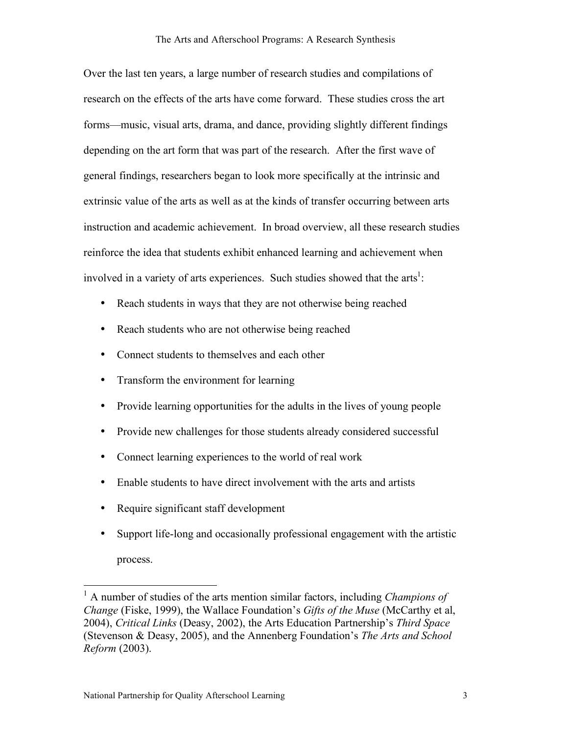Over the last ten years, a large number of research studies and compilations of research on the effects of the arts have come forward. These studies cross the art forms—music, visual arts, drama, and dance, providing slightly different findings depending on the art form that was part of the research. After the first wave of general findings, researchers began to look more specifically at the intrinsic and extrinsic value of the arts as well as at the kinds of transfer occurring between arts instruction and academic achievement. In broad overview, all these research studies reinforce the idea that students exhibit enhanced learning and achievement when involved in a variety of arts experiences. Such studies showed that the arts<sup>1</sup>:

- Reach students in ways that they are not otherwise being reached
- Reach students who are not otherwise being reached
- Connect students to themselves and each other
- Transform the environment for learning
- Provide learning opportunities for the adults in the lives of young people
- Provide new challenges for those students already considered successful
- Connect learning experiences to the world of real work
- Enable students to have direct involvement with the arts and artists
- Require significant staff development
- Support life-long and occasionally professional engagement with the artistic process.

 <sup>1</sup> <sup>A</sup> number of studies of the arts mention similar factors, including *Champions of Change* (Fiske, 1999), the Wallace Foundation's *Gifts of the Muse* (McCarthy et al, 2004), *Critical Links* (Deasy, 2002), the Arts Education Partnership's *Third Space* (Stevenson & Deasy, 2005), and the Annenberg Foundation's *The Arts and School Reform* (2003).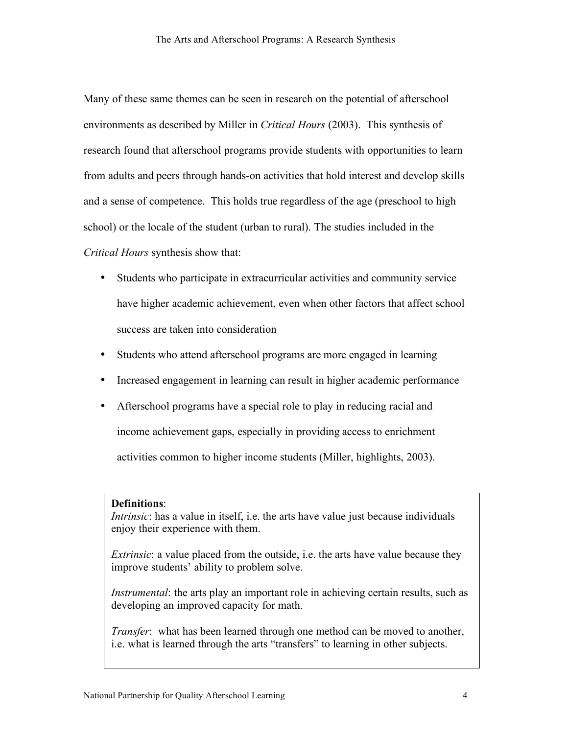Many of these same themes can be seen in research on the potential of afterschool environments as described by Miller in *Critical Hours* (2003). This synthesis of research found that afterschool programs provide students with opportunities to learn from adults and peers through hands-on activities that hold interest and develop skills and a sense of competence. This holds true regardless of the age (preschool to high school) or the locale of the student (urban to rural). The studies included in the *Critical Hours* synthesis show that:

- Students who participate in extracurricular activities and community service have higher academic achievement, even when other factors that affect school success are taken into consideration
- Students who attend afterschool programs are more engaged in learning
- Increased engagement in learning can result in higher academic performance
- Afterschool programs have a special role to play in reducing racial and income achievement gaps, especially in providing access to enrichment activities common to higher income students (Miller, highlights, 2003).

# **Definitions**:

*Intrinsic*: has a value in itself, i.e. the arts have value just because individuals enjoy their experience with them.

*Extrinsic*: a value placed from the outside, i.e. the arts have value because they improve students' ability to problem solve.

*Instrumental*: the arts play an important role in achieving certain results, such as developing an improved capacity for math.

*Transfer*: what has been learned through one method can be moved to another, i.e. what is learned through the arts "transfers" to learning in other subjects.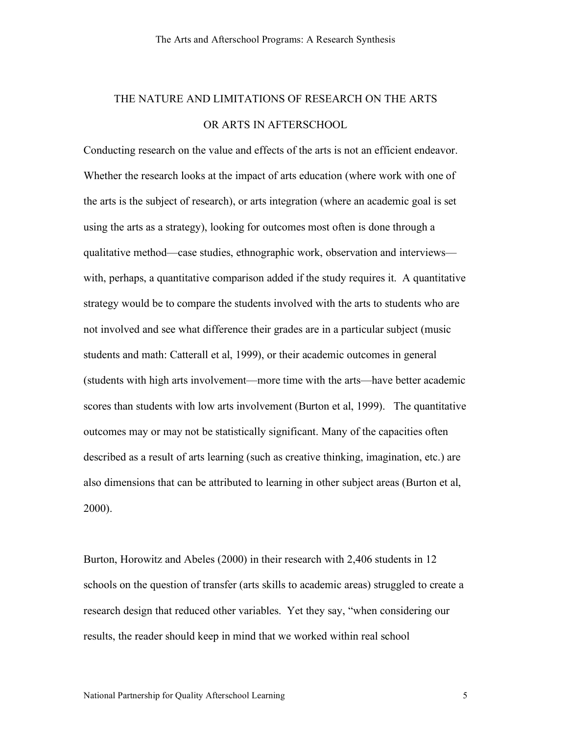# THE NATURE AND LIMITATIONS OF RESEARCH ON THE ARTS OR ARTS IN AFTERSCHOOL

Conducting research on the value and effects of the arts is not an efficient endeavor. Whether the research looks at the impact of arts education (where work with one of the arts is the subject of research), or arts integration (where an academic goal is set using the arts as a strategy), looking for outcomes most often is done through a qualitative method—case studies, ethnographic work, observation and interviews with, perhaps, a quantitative comparison added if the study requires it. A quantitative strategy would be to compare the students involved with the arts to students who are not involved and see what difference their grades are in a particular subject (music students and math: Catterall et al, 1999), or their academic outcomes in general (students with high arts involvement—more time with the arts—have better academic scores than students with low arts involvement (Burton et al, 1999). The quantitative outcomes may or may not be statistically significant. Many of the capacities often described as a result of arts learning (such as creative thinking, imagination, etc.) are also dimensions that can be attributed to learning in other subject areas (Burton et al, 2000).

Burton, Horowitz and Abeles (2000) in their research with 2,406 students in 12 schools on the question of transfer (arts skills to academic areas) struggled to create a research design that reduced other variables. Yet they say, "when considering our results, the reader should keep in mind that we worked within real school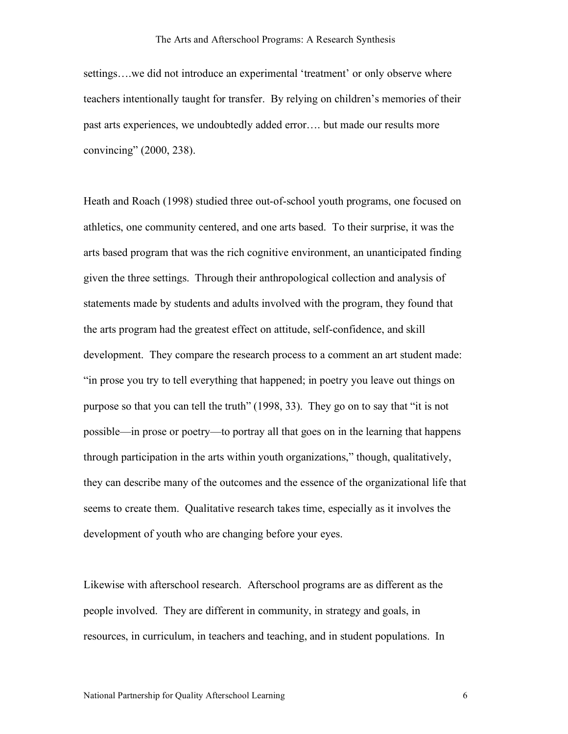settings….we did not introduce an experimental 'treatment' or only observe where teachers intentionally taught for transfer. By relying on children's memories of their past arts experiences, we undoubtedly added error…. but made our results more convincing" (2000, 238).

Heath and Roach (1998) studied three out-of-school youth programs, one focused on athletics, one community centered, and one arts based. To their surprise, it was the arts based program that was the rich cognitive environment, an unanticipated finding given the three settings. Through their anthropological collection and analysis of statements made by students and adults involved with the program, they found that the arts program had the greatest effect on attitude, self-confidence, and skill development. They compare the research process to a comment an art student made: "in prose you try to tell everything that happened; in poetry you leave out things on purpose so that you can tell the truth" (1998, 33). They go on to say that "it is not possible—in prose or poetry—to portray all that goes on in the learning that happens through participation in the arts within youth organizations," though, qualitatively, they can describe many of the outcomes and the essence of the organizational life that seems to create them. Qualitative research takes time, especially as it involves the development of youth who are changing before your eyes.

Likewise with afterschool research. Afterschool programs are as different as the people involved. They are different in community, in strategy and goals, in resources, in curriculum, in teachers and teaching, and in student populations. In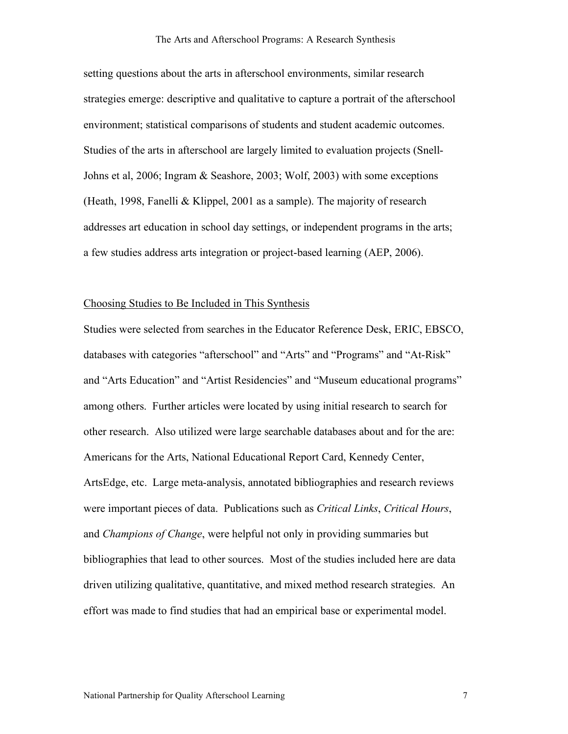setting questions about the arts in afterschool environments, similar research strategies emerge: descriptive and qualitative to capture a portrait of the afterschool environment; statistical comparisons of students and student academic outcomes. Studies of the arts in afterschool are largely limited to evaluation projects (Snell-Johns et al, 2006; Ingram & Seashore, 2003; Wolf, 2003) with some exceptions (Heath, 1998, Fanelli & Klippel, 2001 as a sample). The majority of research addresses art education in school day settings, or independent programs in the arts; a few studies address arts integration or project-based learning (AEP, 2006).

## Choosing Studies to Be Included in This Synthesis

Studies were selected from searches in the Educator Reference Desk, ERIC, EBSCO, databases with categories "afterschool" and "Arts" and "Programs" and "At-Risk" and "Arts Education" and "Artist Residencies" and "Museum educational programs" among others. Further articles were located by using initial research to search for other research. Also utilized were large searchable databases about and for the are: Americans for the Arts, National Educational Report Card, Kennedy Center, ArtsEdge, etc. Large meta-analysis, annotated bibliographies and research reviews were important pieces of data. Publications such as *Critical Links*, *Critical Hours*, and *Champions of Change*, were helpful not only in providing summaries but bibliographies that lead to other sources. Most of the studies included here are data driven utilizing qualitative, quantitative, and mixed method research strategies. An effort was made to find studies that had an empirical base or experimental model.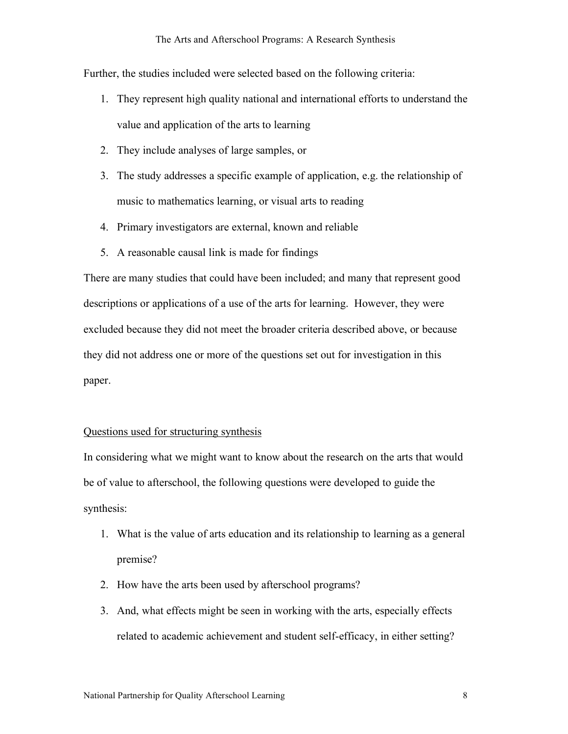Further, the studies included were selected based on the following criteria:

- 1. They represent high quality national and international efforts to understand the value and application of the arts to learning
- 2. They include analyses of large samples, or
- 3. The study addresses a specific example of application, e.g. the relationship of music to mathematics learning, or visual arts to reading
- 4. Primary investigators are external, known and reliable
- 5. A reasonable causal link is made for findings

There are many studies that could have been included; and many that represent good descriptions or applications of a use of the arts for learning. However, they were excluded because they did not meet the broader criteria described above, or because they did not address one or more of the questions set out for investigation in this paper.

#### Questions used for structuring synthesis

In considering what we might want to know about the research on the arts that would be of value to afterschool, the following questions were developed to guide the synthesis:

- 1. What is the value of arts education and its relationship to learning as a general premise?
- 2. How have the arts been used by afterschool programs?
- 3. And, what effects might be seen in working with the arts, especially effects related to academic achievement and student self-efficacy, in either setting?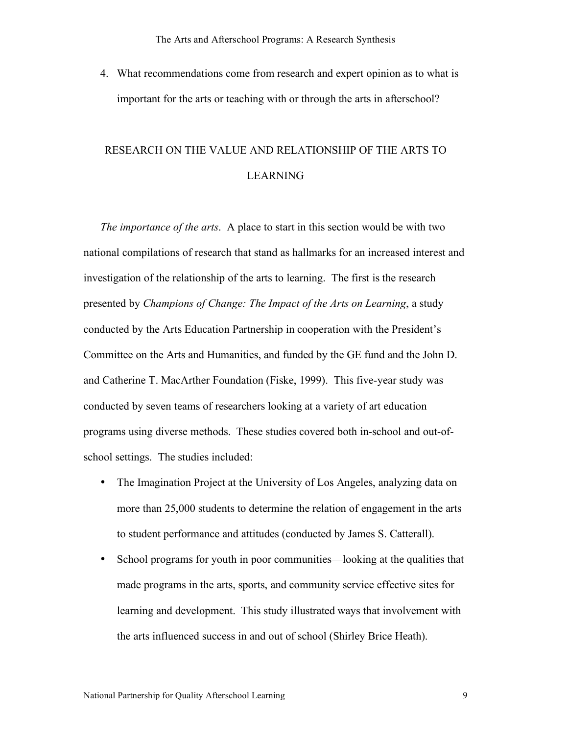4. What recommendations come from research and expert opinion as to what is important for the arts or teaching with or through the arts in afterschool?

# RESEARCH ON THE VALUE AND RELATIONSHIP OF THE ARTS TO LEARNING

*The importance of the arts*. A place to start in this section would be with two national compilations of research that stand as hallmarks for an increased interest and investigation of the relationship of the arts to learning. The first is the research presented by *Champions of Change: The Impact of the Arts on Learning*, a study conducted by the Arts Education Partnership in cooperation with the President's Committee on the Arts and Humanities, and funded by the GE fund and the John D. and Catherine T. MacArther Foundation (Fiske, 1999). This five-year study was conducted by seven teams of researchers looking at a variety of art education programs using diverse methods. These studies covered both in-school and out-ofschool settings. The studies included:

- The Imagination Project at the University of Los Angeles, analyzing data on more than 25,000 students to determine the relation of engagement in the arts to student performance and attitudes (conducted by James S. Catterall).
- School programs for youth in poor communities—looking at the qualities that made programs in the arts, sports, and community service effective sites for learning and development. This study illustrated ways that involvement with the arts influenced success in and out of school (Shirley Brice Heath).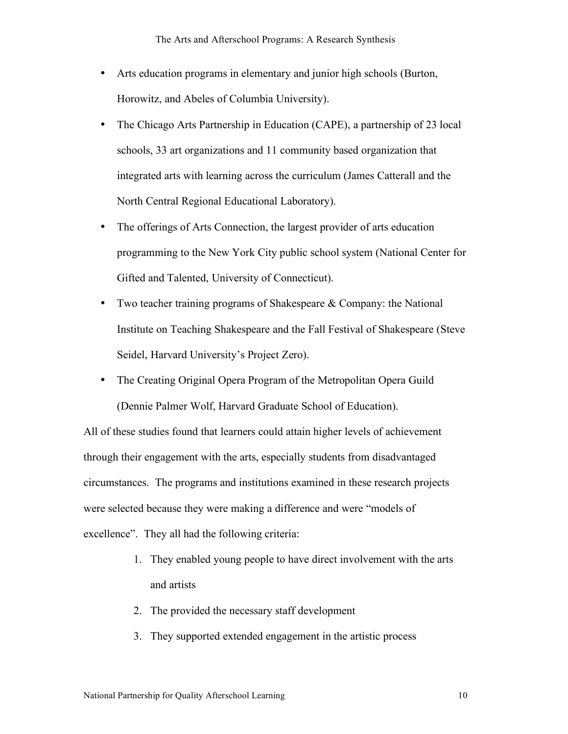- Arts education programs in elementary and junior high schools (Burton, Horowitz, and Abeles of Columbia University).
- The Chicago Arts Partnership in Education (CAPE), a partnership of 23 local schools, 33 art organizations and 11 community based organization that integrated arts with learning across the curriculum (James Catterall and the North Central Regional Educational Laboratory).
- The offerings of Arts Connection, the largest provider of arts education programming to the New York City public school system (National Center for Gifted and Talented, University of Connecticut).
- Two teacher training programs of Shakespeare & Company: the National Institute on Teaching Shakespeare and the Fall Festival of Shakespeare (Steve Seidel, Harvard University's Project Zero).
- The Creating Original Opera Program of the Metropolitan Opera Guild (Dennie Palmer Wolf, Harvard Graduate School of Education).

All of these studies found that learners could attain higher levels of achievement through their engagement with the arts, especially students from disadvantaged circumstances. The programs and institutions examined in these research projects were selected because they were making a difference and were "models of excellence". They all had the following criteria:

- 1. They enabled young people to have direct involvement with the arts and artists
- 2. The provided the necessary staff development
- 3. They supported extended engagement in the artistic process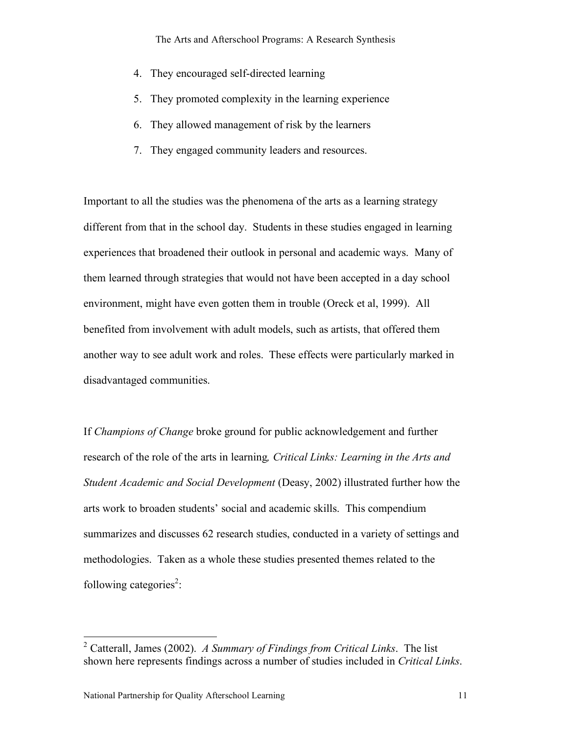- 4. They encouraged self-directed learning
- 5. They promoted complexity in the learning experience
- 6. They allowed management of risk by the learners
- 7. They engaged community leaders and resources.

Important to all the studies was the phenomena of the arts as a learning strategy different from that in the school day. Students in these studies engaged in learning experiences that broadened their outlook in personal and academic ways. Many of them learned through strategies that would not have been accepted in a day school environment, might have even gotten them in trouble (Oreck et al, 1999). All benefited from involvement with adult models, such as artists, that offered them another way to see adult work and roles. These effects were particularly marked in disadvantaged communities.

If *Champions of Change* broke ground for public acknowledgement and further research of the role of the arts in learning*, Critical Links: Learning in the Arts and Student Academic and Social Development* (Deasy, 2002) illustrated further how the arts work to broaden students' social and academic skills. This compendium summarizes and discusses 62 research studies, conducted in a variety of settings and methodologies. Taken as a whole these studies presented themes related to the following categories<sup>2</sup>:

 <sup>2</sup> Catterall, James (2002). *<sup>A</sup> Summary of Findings from Critical Links*. The list shown here represents findings across a number of studies included in *Critical Links*.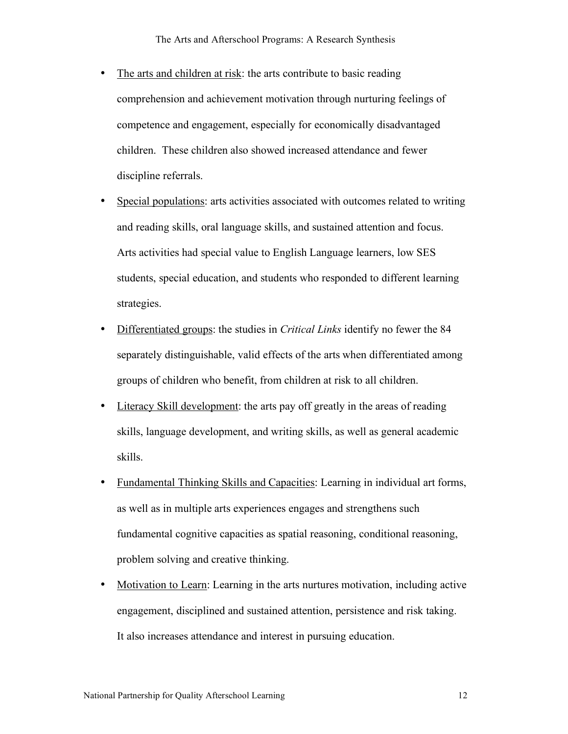- The arts and children at risk: the arts contribute to basic reading comprehension and achievement motivation through nurturing feelings of competence and engagement, especially for economically disadvantaged children. These children also showed increased attendance and fewer discipline referrals.
- Special populations: arts activities associated with outcomes related to writing and reading skills, oral language skills, and sustained attention and focus. Arts activities had special value to English Language learners, low SES students, special education, and students who responded to different learning strategies.
- Differentiated groups: the studies in *Critical Links* identify no fewer the 84 separately distinguishable, valid effects of the arts when differentiated among groups of children who benefit, from children at risk to all children.
- Literacy Skill development: the arts pay off greatly in the areas of reading skills, language development, and writing skills, as well as general academic skills.
- Fundamental Thinking Skills and Capacities: Learning in individual art forms, as well as in multiple arts experiences engages and strengthens such fundamental cognitive capacities as spatial reasoning, conditional reasoning, problem solving and creative thinking.
- Motivation to Learn: Learning in the arts nurtures motivation, including active engagement, disciplined and sustained attention, persistence and risk taking. It also increases attendance and interest in pursuing education.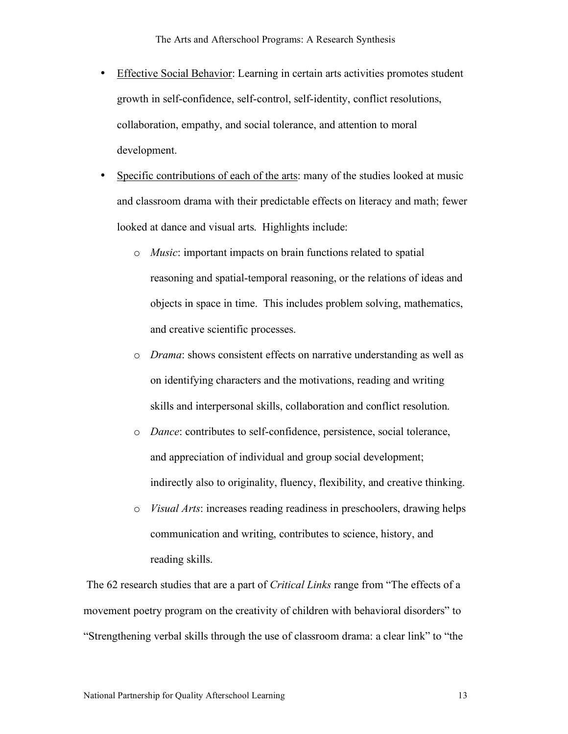- Effective Social Behavior: Learning in certain arts activities promotes student growth in self-confidence, self-control, self-identity, conflict resolutions, collaboration, empathy, and social tolerance, and attention to moral development.
- Specific contributions of each of the arts: many of the studies looked at music and classroom drama with their predictable effects on literacy and math; fewer looked at dance and visual arts. Highlights include:
	- o *Music*: important impacts on brain functions related to spatial reasoning and spatial-temporal reasoning, or the relations of ideas and objects in space in time. This includes problem solving, mathematics, and creative scientific processes.
	- o *Drama*: shows consistent effects on narrative understanding as well as on identifying characters and the motivations, reading and writing skills and interpersonal skills, collaboration and conflict resolution.
	- o *Dance*: contributes to self-confidence, persistence, social tolerance, and appreciation of individual and group social development; indirectly also to originality, fluency, flexibility, and creative thinking.
	- o *Visual Arts*: increases reading readiness in preschoolers, drawing helps communication and writing, contributes to science, history, and reading skills.

The 62 research studies that are a part of *Critical Links* range from "The effects of a movement poetry program on the creativity of children with behavioral disorders" to "Strengthening verbal skills through the use of classroom drama: a clear link" to "the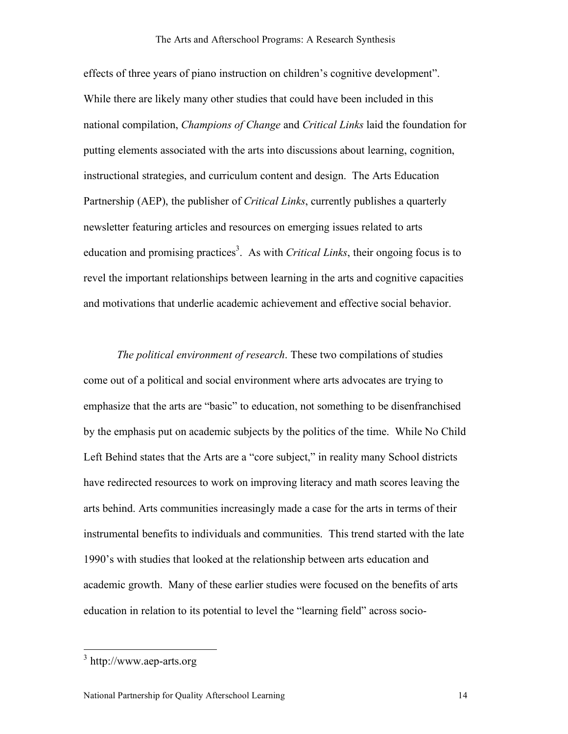effects of three years of piano instruction on children's cognitive development". While there are likely many other studies that could have been included in this national compilation, *Champions of Change* and *Critical Links* laid the foundation for putting elements associated with the arts into discussions about learning, cognition, instructional strategies, and curriculum content and design. The Arts Education Partnership (AEP), the publisher of *Critical Links*, currently publishes a quarterly newsletter featuring articles and resources on emerging issues related to arts education and promising practices 3 . As with *Critical Links*, their ongoing focus is to revel the important relationships between learning in the arts and cognitive capacities and motivations that underlie academic achievement and effective social behavior.

*The political environment of research*. These two compilations of studies come out of a political and social environment where arts advocates are trying to emphasize that the arts are "basic" to education, not something to be disenfranchised by the emphasis put on academic subjects by the politics of the time. While No Child Left Behind states that the Arts are a "core subject," in reality many School districts have redirected resources to work on improving literacy and math scores leaving the arts behind. Arts communities increasingly made a case for the arts in terms of their instrumental benefits to individuals and communities. This trend started with the late 1990's with studies that looked at the relationship between arts education and academic growth. Many of these earlier studies were focused on the benefits of arts education in relation to its potential to level the "learning field" across socio-

 <sup>3</sup> http://www.aep-arts.org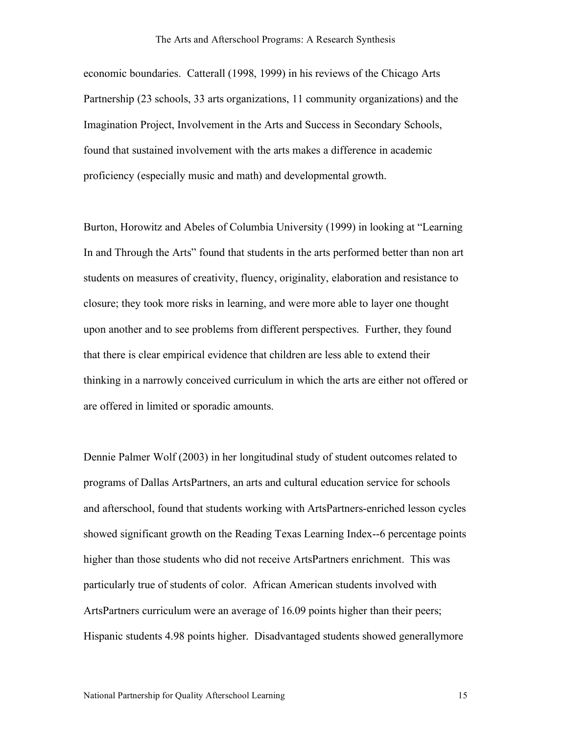economic boundaries. Catterall (1998, 1999) in his reviews of the Chicago Arts Partnership (23 schools, 33 arts organizations, 11 community organizations) and the Imagination Project, Involvement in the Arts and Success in Secondary Schools, found that sustained involvement with the arts makes a difference in academic proficiency (especially music and math) and developmental growth.

Burton, Horowitz and Abeles of Columbia University (1999) in looking at "Learning In and Through the Arts" found that students in the arts performed better than non art students on measures of creativity, fluency, originality, elaboration and resistance to closure; they took more risks in learning, and were more able to layer one thought upon another and to see problems from different perspectives. Further, they found that there is clear empirical evidence that children are less able to extend their thinking in a narrowly conceived curriculum in which the arts are either not offered or are offered in limited or sporadic amounts.

Dennie Palmer Wolf (2003) in her longitudinal study of student outcomes related to programs of Dallas ArtsPartners, an arts and cultural education service for schools and afterschool, found that students working with ArtsPartners-enriched lesson cycles showed significant growth on the Reading Texas Learning Index--6 percentage points higher than those students who did not receive ArtsPartners enrichment. This was particularly true of students of color. African American students involved with ArtsPartners curriculum were an average of 16.09 points higher than their peers; Hispanic students 4.98 points higher. Disadvantaged students showed generallymore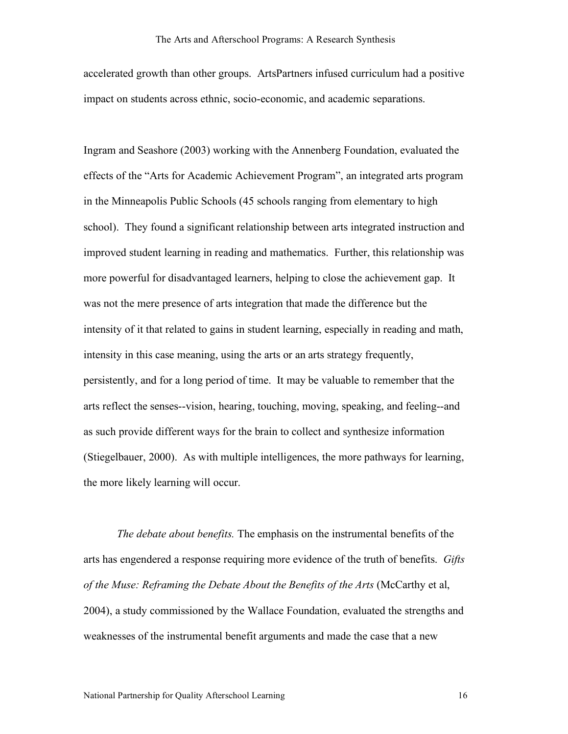accelerated growth than other groups. ArtsPartners infused curriculum had a positive impact on students across ethnic, socio-economic, and academic separations.

Ingram and Seashore (2003) working with the Annenberg Foundation, evaluated the effects of the "Arts for Academic Achievement Program", an integrated arts program in the Minneapolis Public Schools (45 schools ranging from elementary to high school). They found a significant relationship between arts integrated instruction and improved student learning in reading and mathematics. Further, this relationship was more powerful for disadvantaged learners, helping to close the achievement gap. It was not the mere presence of arts integration that made the difference but the intensity of it that related to gains in student learning, especially in reading and math, intensity in this case meaning, using the arts or an arts strategy frequently, persistently, and for a long period of time. It may be valuable to remember that the arts reflect the senses--vision, hearing, touching, moving, speaking, and feeling--and as such provide different ways for the brain to collect and synthesize information (Stiegelbauer, 2000). As with multiple intelligences, the more pathways for learning, the more likely learning will occur.

*The debate about benefits.* The emphasis on the instrumental benefits of the arts has engendered a response requiring more evidence of the truth of benefits. *Gifts of the Muse: Reframing the Debate About the Benefits of the Arts* (McCarthy et al, 2004), a study commissioned by the Wallace Foundation, evaluated the strengths and weaknesses of the instrumental benefit arguments and made the case that a new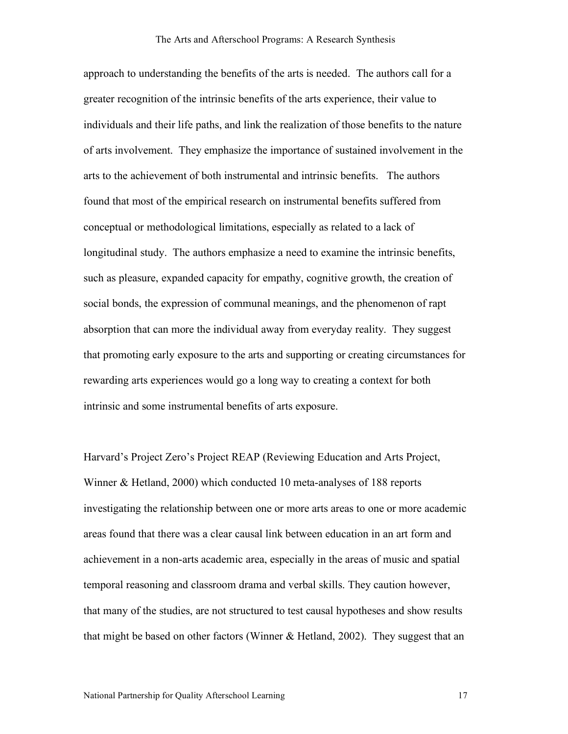approach to understanding the benefits of the arts is needed. The authors call for a greater recognition of the intrinsic benefits of the arts experience, their value to individuals and their life paths, and link the realization of those benefits to the nature of arts involvement. They emphasize the importance of sustained involvement in the arts to the achievement of both instrumental and intrinsic benefits. The authors found that most of the empirical research on instrumental benefits suffered from conceptual or methodological limitations, especially as related to a lack of longitudinal study. The authors emphasize a need to examine the intrinsic benefits, such as pleasure, expanded capacity for empathy, cognitive growth, the creation of social bonds, the expression of communal meanings, and the phenomenon of rapt absorption that can more the individual away from everyday reality. They suggest that promoting early exposure to the arts and supporting or creating circumstances for rewarding arts experiences would go a long way to creating a context for both intrinsic and some instrumental benefits of arts exposure.

Harvard's Project Zero's Project REAP (Reviewing Education and Arts Project, Winner & Hetland, 2000) which conducted 10 meta-analyses of 188 reports investigating the relationship between one or more arts areas to one or more academic areas found that there was a clear causal link between education in an art form and achievement in a non-arts academic area, especially in the areas of music and spatial temporal reasoning and classroom drama and verbal skills. They caution however, that many of the studies, are not structured to test causal hypotheses and show results that might be based on other factors (Winner & Hetland, 2002). They suggest that an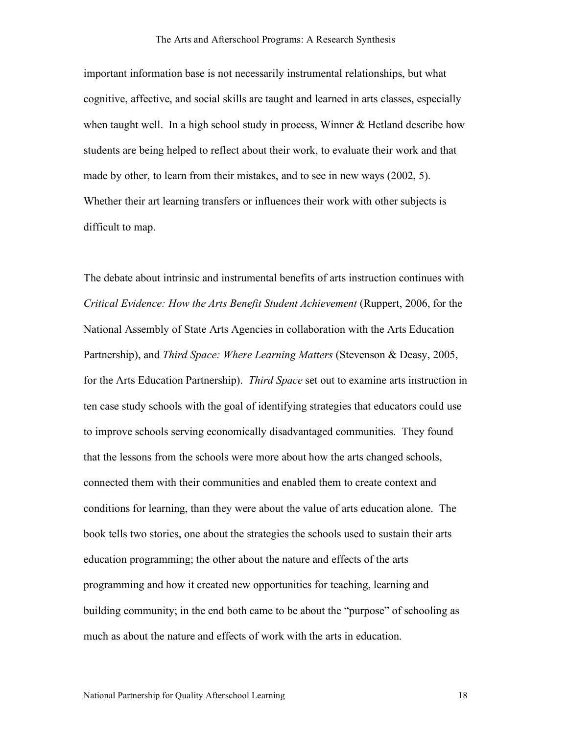important information base is not necessarily instrumental relationships, but what cognitive, affective, and social skills are taught and learned in arts classes, especially when taught well. In a high school study in process, Winner & Hetland describe how students are being helped to reflect about their work, to evaluate their work and that made by other, to learn from their mistakes, and to see in new ways (2002, 5). Whether their art learning transfers or influences their work with other subjects is difficult to map.

The debate about intrinsic and instrumental benefits of arts instruction continues with *Critical Evidence: How the Arts Benefit Student Achievement* (Ruppert, 2006, for the National Assembly of State Arts Agencies in collaboration with the Arts Education Partnership), and *Third Space: Where Learning Matters* (Stevenson & Deasy, 2005, for the Arts Education Partnership). *Third Space* set out to examine arts instruction in ten case study schools with the goal of identifying strategies that educators could use to improve schools serving economically disadvantaged communities. They found that the lessons from the schools were more about how the arts changed schools, connected them with their communities and enabled them to create context and conditions for learning, than they were about the value of arts education alone. The book tells two stories, one about the strategies the schools used to sustain their arts education programming; the other about the nature and effects of the arts programming and how it created new opportunities for teaching, learning and building community; in the end both came to be about the "purpose" of schooling as much as about the nature and effects of work with the arts in education.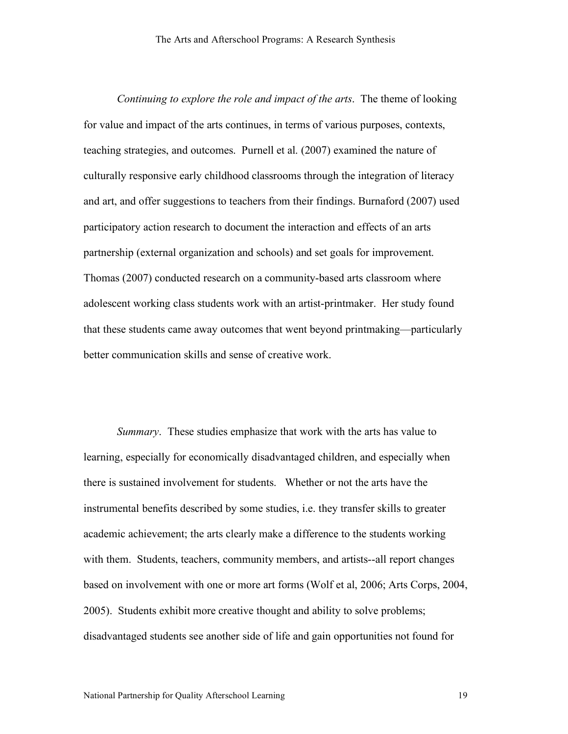*Continuing to explore the role and impact of the arts*. The theme of looking for value and impact of the arts continues, in terms of various purposes, contexts, teaching strategies, and outcomes. Purnell et al. (2007) examined the nature of culturally responsive early childhood classrooms through the integration of literacy and art, and offer suggestions to teachers from their findings. Burnaford (2007) used participatory action research to document the interaction and effects of an arts partnership (external organization and schools) and set goals for improvement. Thomas (2007) conducted research on a community-based arts classroom where adolescent working class students work with an artist-printmaker. Her study found that these students came away outcomes that went beyond printmaking—particularly better communication skills and sense of creative work.

*Summary*. These studies emphasize that work with the arts has value to learning, especially for economically disadvantaged children, and especially when there is sustained involvement for students. Whether or not the arts have the instrumental benefits described by some studies, i.e. they transfer skills to greater academic achievement; the arts clearly make a difference to the students working with them. Students, teachers, community members, and artists--all report changes based on involvement with one or more art forms (Wolf et al, 2006; Arts Corps, 2004, 2005). Students exhibit more creative thought and ability to solve problems; disadvantaged students see another side of life and gain opportunities not found for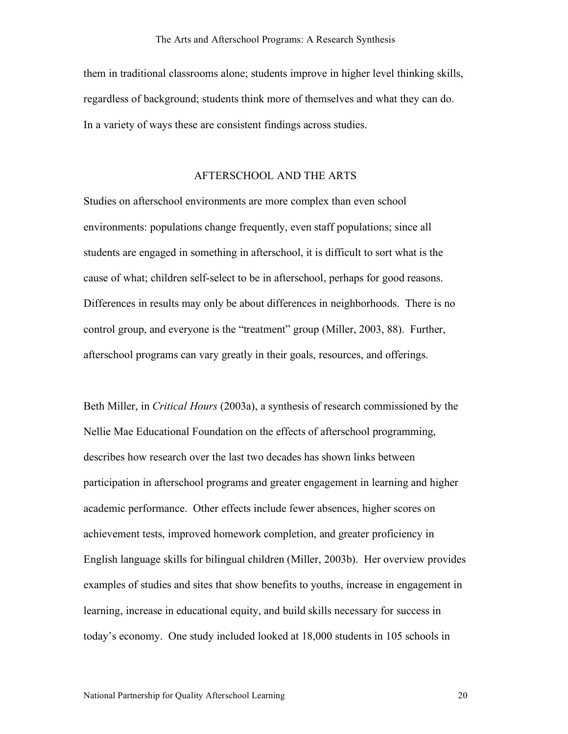them in traditional classrooms alone; students improve in higher level thinking skills, regardless of background; students think more of themselves and what they can do. In a variety of ways these are consistent findings across studies.

# AFTERSCHOOL AND THE ARTS

Studies on afterschool environments are more complex than even school environments: populations change frequently, even staff populations; since all students are engaged in something in afterschool, it is difficult to sort what is the cause of what; children self-select to be in afterschool, perhaps for good reasons. Differences in results may only be about differences in neighborhoods. There is no control group, and everyone is the "treatment" group (Miller, 2003, 88). Further, afterschool programs can vary greatly in their goals, resources, and offerings.

Beth Miller, in *Critical Hours* (2003a), a synthesis of research commissioned by the Nellie Mae Educational Foundation on the effects of afterschool programming, describes how research over the last two decades has shown links between participation in afterschool programs and greater engagement in learning and higher academic performance. Other effects include fewer absences, higher scores on achievement tests, improved homework completion, and greater proficiency in English language skills for bilingual children (Miller, 2003b). Her overview provides examples of studies and sites that show benefits to youths, increase in engagement in learning, increase in educational equity, and build skills necessary for success in today's economy. One study included looked at 18,000 students in 105 schools in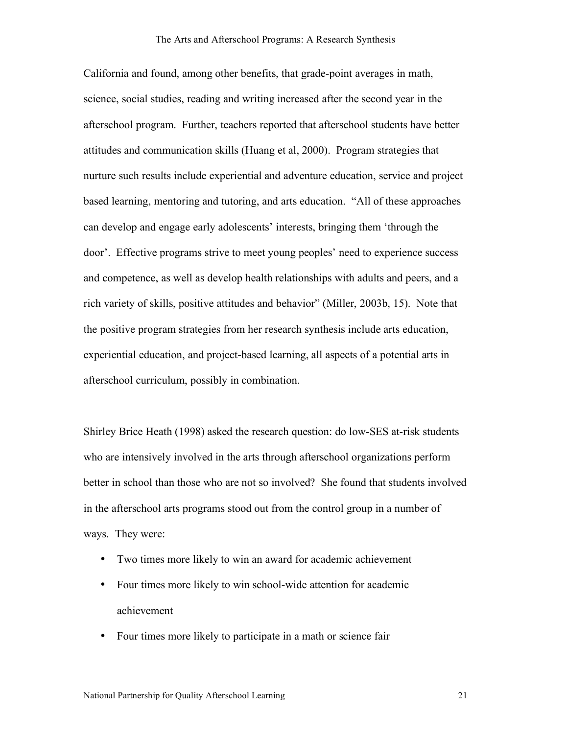California and found, among other benefits, that grade-point averages in math, science, social studies, reading and writing increased after the second year in the afterschool program. Further, teachers reported that afterschool students have better attitudes and communication skills (Huang et al, 2000). Program strategies that nurture such results include experiential and adventure education, service and project based learning, mentoring and tutoring, and arts education. "All of these approaches can develop and engage early adolescents' interests, bringing them 'through the door'. Effective programs strive to meet young peoples' need to experience success and competence, as well as develop health relationships with adults and peers, and a rich variety of skills, positive attitudes and behavior" (Miller, 2003b, 15). Note that the positive program strategies from her research synthesis include arts education, experiential education, and project-based learning, all aspects of a potential arts in afterschool curriculum, possibly in combination.

Shirley Brice Heath (1998) asked the research question: do low-SES at-risk students who are intensively involved in the arts through afterschool organizations perform better in school than those who are not so involved? She found that students involved in the afterschool arts programs stood out from the control group in a number of ways. They were:

- Two times more likely to win an award for academic achievement
- Four times more likely to win school-wide attention for academic achievement
- Four times more likely to participate in a math or science fair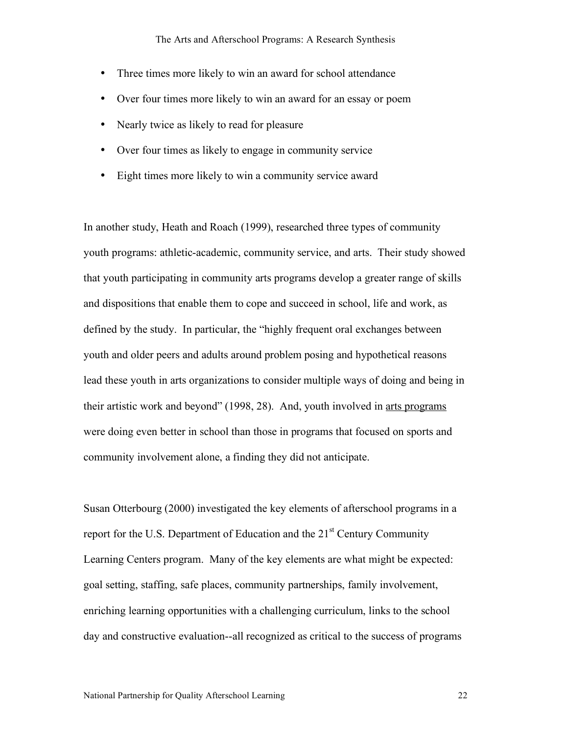- Three times more likely to win an award for school attendance
- Over four times more likely to win an award for an essay or poem
- Nearly twice as likely to read for pleasure
- Over four times as likely to engage in community service
- Eight times more likely to win a community service award

In another study, Heath and Roach (1999), researched three types of community youth programs: athletic-academic, community service, and arts. Their study showed that youth participating in community arts programs develop a greater range of skills and dispositions that enable them to cope and succeed in school, life and work, as defined by the study. In particular, the "highly frequent oral exchanges between youth and older peers and adults around problem posing and hypothetical reasons lead these youth in arts organizations to consider multiple ways of doing and being in their artistic work and beyond" (1998, 28). And, youth involved in arts programs were doing even better in school than those in programs that focused on sports and community involvement alone, a finding they did not anticipate.

Susan Otterbourg (2000) investigated the key elements of afterschool programs in a report for the U.S. Department of Education and the 21<sup>st</sup> Century Community Learning Centers program. Many of the key elements are what might be expected: goal setting, staffing, safe places, community partnerships, family involvement, enriching learning opportunities with a challenging curriculum, links to the school day and constructive evaluation--all recognized as critical to the success of programs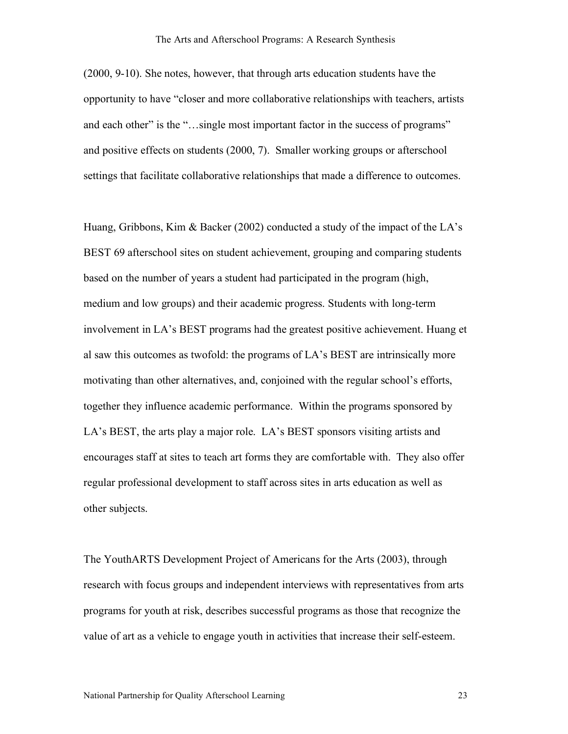(2000, 9-10). She notes, however, that through arts education students have the opportunity to have "closer and more collaborative relationships with teachers, artists and each other" is the "…single most important factor in the success of programs" and positive effects on students (2000, 7). Smaller working groups or afterschool settings that facilitate collaborative relationships that made a difference to outcomes.

Huang, Gribbons, Kim & Backer (2002) conducted a study of the impact of the LA's BEST 69 afterschool sites on student achievement, grouping and comparing students based on the number of years a student had participated in the program (high, medium and low groups) and their academic progress. Students with long-term involvement in LA's BEST programs had the greatest positive achievement. Huang et al saw this outcomes as twofold: the programs of LA's BEST are intrinsically more motivating than other alternatives, and, conjoined with the regular school's efforts, together they influence academic performance. Within the programs sponsored by LA's BEST, the arts play a major role. LA's BEST sponsors visiting artists and encourages staff at sites to teach art forms they are comfortable with. They also offer regular professional development to staff across sites in arts education as well as other subjects.

The YouthARTS Development Project of Americans for the Arts (2003), through research with focus groups and independent interviews with representatives from arts programs for youth at risk, describes successful programs as those that recognize the value of art as a vehicle to engage youth in activities that increase their self-esteem.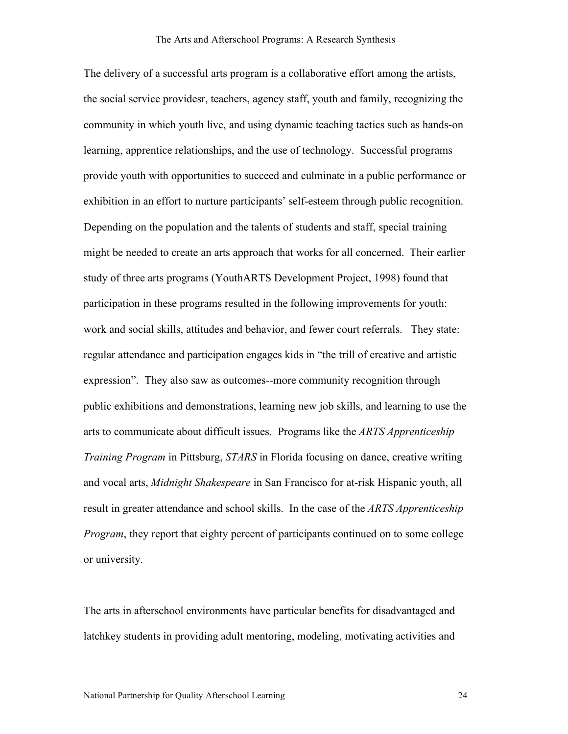The delivery of a successful arts program is a collaborative effort among the artists, the social service providesr, teachers, agency staff, youth and family, recognizing the community in which youth live, and using dynamic teaching tactics such as hands-on learning, apprentice relationships, and the use of technology. Successful programs provide youth with opportunities to succeed and culminate in a public performance or exhibition in an effort to nurture participants' self-esteem through public recognition. Depending on the population and the talents of students and staff, special training might be needed to create an arts approach that works for all concerned. Their earlier study of three arts programs (YouthARTS Development Project, 1998) found that participation in these programs resulted in the following improvements for youth: work and social skills, attitudes and behavior, and fewer court referrals. They state: regular attendance and participation engages kids in "the trill of creative and artistic expression". They also saw as outcomes--more community recognition through public exhibitions and demonstrations, learning new job skills, and learning to use the arts to communicate about difficult issues. Programs like the *ARTS Apprenticeship Training Program* in Pittsburg, *STARS* in Florida focusing on dance, creative writing and vocal arts, *Midnight Shakespeare* in San Francisco for at-risk Hispanic youth, all result in greater attendance and school skills. In the case of the *ARTS Apprenticeship Program*, they report that eighty percent of participants continued on to some college or university.

The arts in afterschool environments have particular benefits for disadvantaged and latchkey students in providing adult mentoring, modeling, motivating activities and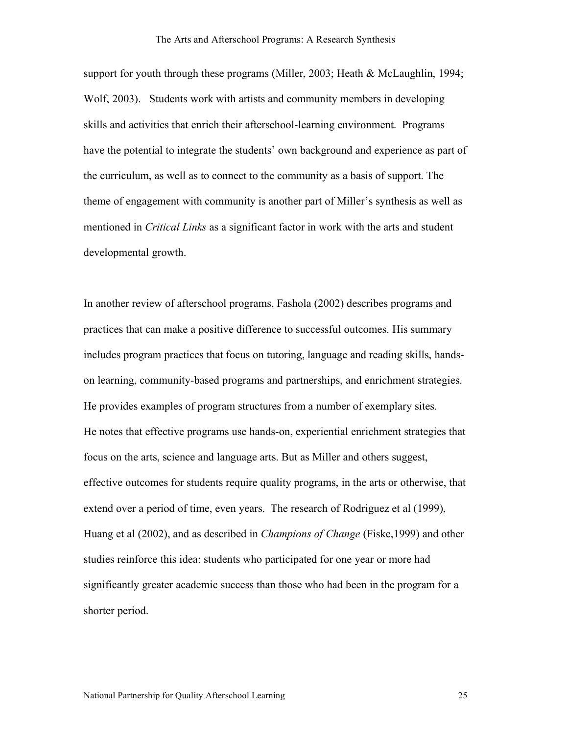support for youth through these programs (Miller, 2003; Heath & McLaughlin, 1994; Wolf, 2003). Students work with artists and community members in developing skills and activities that enrich their afterschool-learning environment. Programs have the potential to integrate the students' own background and experience as part of the curriculum, as well as to connect to the community as a basis of support. The theme of engagement with community is another part of Miller's synthesis as well as mentioned in *Critical Links* as a significant factor in work with the arts and student developmental growth.

In another review of afterschool programs, Fashola (2002) describes programs and practices that can make a positive difference to successful outcomes. His summary includes program practices that focus on tutoring, language and reading skills, handson learning, community-based programs and partnerships, and enrichment strategies. He provides examples of program structures from a number of exemplary sites. He notes that effective programs use hands-on, experiential enrichment strategies that focus on the arts, science and language arts. But as Miller and others suggest, effective outcomes for students require quality programs, in the arts or otherwise, that extend over a period of time, even years. The research of Rodriguez et al (1999), Huang et al (2002), and as described in *Champions of Change* (Fiske,1999) and other studies reinforce this idea: students who participated for one year or more had significantly greater academic success than those who had been in the program for a shorter period.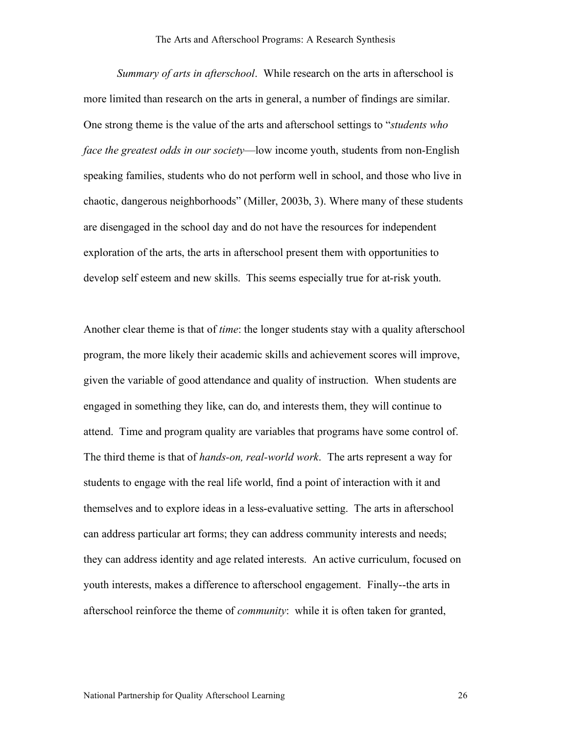*Summary of arts in afterschool*. While research on the arts in afterschool is more limited than research on the arts in general, a number of findings are similar. One strong theme is the value of the arts and afterschool settings to "*students who face the greatest odds in our society*—low income youth, students from non-English speaking families, students who do not perform well in school, and those who live in chaotic, dangerous neighborhoods" (Miller, 2003b, 3). Where many of these students are disengaged in the school day and do not have the resources for independent exploration of the arts, the arts in afterschool present them with opportunities to develop self esteem and new skills. This seems especially true for at-risk youth.

Another clear theme is that of *time*: the longer students stay with a quality afterschool program, the more likely their academic skills and achievement scores will improve, given the variable of good attendance and quality of instruction. When students are engaged in something they like, can do, and interests them, they will continue to attend. Time and program quality are variables that programs have some control of. The third theme is that of *hands-on, real-world work*. The arts represent a way for students to engage with the real life world, find a point of interaction with it and themselves and to explore ideas in a less-evaluative setting. The arts in afterschool can address particular art forms; they can address community interests and needs; they can address identity and age related interests. An active curriculum, focused on youth interests, makes a difference to afterschool engagement. Finally--the arts in afterschool reinforce the theme of *community*: while it is often taken for granted,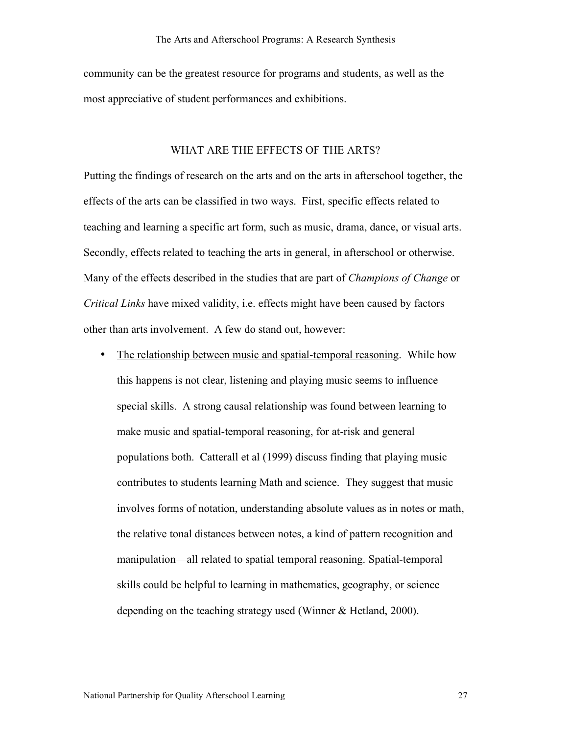community can be the greatest resource for programs and students, as well as the most appreciative of student performances and exhibitions.

## WHAT ARE THE EFFECTS OF THE ARTS?

Putting the findings of research on the arts and on the arts in afterschool together, the effects of the arts can be classified in two ways. First, specific effects related to teaching and learning a specific art form, such as music, drama, dance, or visual arts. Secondly, effects related to teaching the arts in general, in afterschool or otherwise. Many of the effects described in the studies that are part of *Champions of Change* or *Critical Links* have mixed validity, i.e. effects might have been caused by factors other than arts involvement. A few do stand out, however:

• The relationship between music and spatial-temporal reasoning. While how this happens is not clear, listening and playing music seems to influence special skills. A strong causal relationship was found between learning to make music and spatial-temporal reasoning, for at-risk and general populations both. Catterall et al (1999) discuss finding that playing music contributes to students learning Math and science. They suggest that music involves forms of notation, understanding absolute values as in notes or math, the relative tonal distances between notes, a kind of pattern recognition and manipulation—all related to spatial temporal reasoning. Spatial-temporal skills could be helpful to learning in mathematics, geography, or science depending on the teaching strategy used (Winner & Hetland, 2000).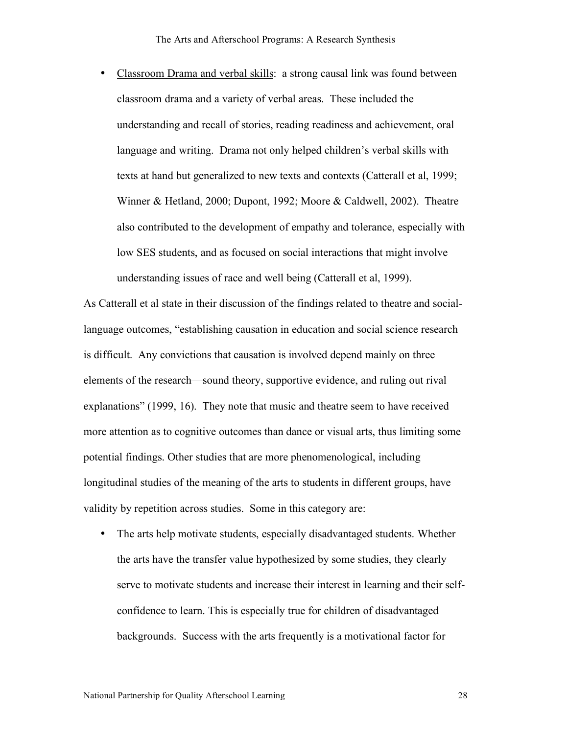• Classroom Drama and verbal skills: a strong causal link was found between classroom drama and a variety of verbal areas. These included the understanding and recall of stories, reading readiness and achievement, oral language and writing. Drama not only helped children's verbal skills with texts at hand but generalized to new texts and contexts (Catterall et al, 1999; Winner & Hetland, 2000; Dupont, 1992; Moore & Caldwell, 2002). Theatre also contributed to the development of empathy and tolerance, especially with low SES students, and as focused on social interactions that might involve understanding issues of race and well being (Catterall et al, 1999).

As Catterall et al state in their discussion of the findings related to theatre and sociallanguage outcomes, "establishing causation in education and social science research is difficult. Any convictions that causation is involved depend mainly on three elements of the research—sound theory, supportive evidence, and ruling out rival explanations" (1999, 16). They note that music and theatre seem to have received more attention as to cognitive outcomes than dance or visual arts, thus limiting some potential findings. Other studies that are more phenomenological, including longitudinal studies of the meaning of the arts to students in different groups, have validity by repetition across studies. Some in this category are:

• The arts help motivate students, especially disadvantaged students. Whether the arts have the transfer value hypothesized by some studies, they clearly serve to motivate students and increase their interest in learning and their selfconfidence to learn. This is especially true for children of disadvantaged backgrounds. Success with the arts frequently is a motivational factor for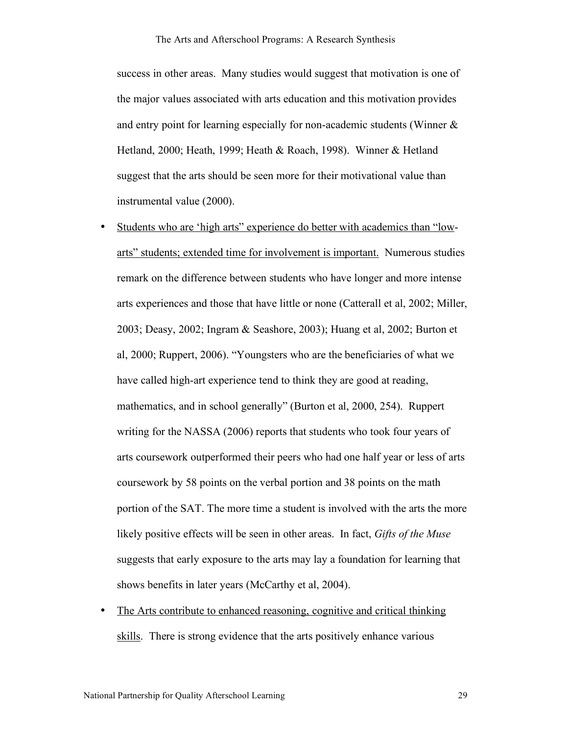success in other areas. Many studies would suggest that motivation is one of the major values associated with arts education and this motivation provides and entry point for learning especially for non-academic students (Winner & Hetland, 2000; Heath, 1999; Heath & Roach, 1998). Winner & Hetland suggest that the arts should be seen more for their motivational value than instrumental value (2000).

- Students who are 'high arts" experience do better with academics than "lowarts" students; extended time for involvement is important. Numerous studies remark on the difference between students who have longer and more intense arts experiences and those that have little or none (Catterall et al, 2002; Miller, 2003; Deasy, 2002; Ingram & Seashore, 2003); Huang et al, 2002; Burton et al, 2000; Ruppert, 2006). "Youngsters who are the beneficiaries of what we have called high-art experience tend to think they are good at reading, mathematics, and in school generally" (Burton et al, 2000, 254). Ruppert writing for the NASSA (2006) reports that students who took four years of arts coursework outperformed their peers who had one half year or less of arts coursework by 58 points on the verbal portion and 38 points on the math portion of the SAT. The more time a student is involved with the arts the more likely positive effects will be seen in other areas. In fact, *Gifts of the Muse* suggests that early exposure to the arts may lay a foundation for learning that shows benefits in later years (McCarthy et al, 2004).
- The Arts contribute to enhanced reasoning, cognitive and critical thinking skills. There is strong evidence that the arts positively enhance various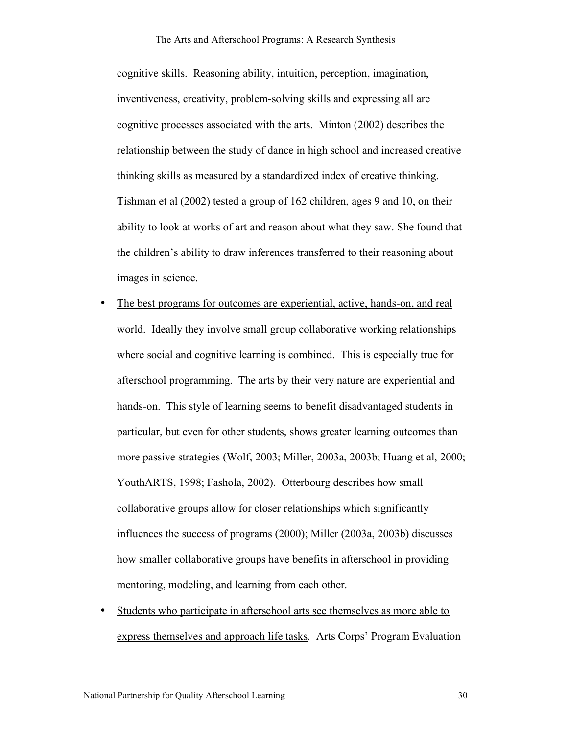cognitive skills. Reasoning ability, intuition, perception, imagination, inventiveness, creativity, problem-solving skills and expressing all are cognitive processes associated with the arts. Minton (2002) describes the relationship between the study of dance in high school and increased creative thinking skills as measured by a standardized index of creative thinking. Tishman et al (2002) tested a group of 162 children, ages 9 and 10, on their ability to look at works of art and reason about what they saw. She found that the children's ability to draw inferences transferred to their reasoning about images in science.

- The best programs for outcomes are experiential, active, hands-on, and real world. Ideally they involve small group collaborative working relationships where social and cognitive learning is combined. This is especially true for afterschool programming. The arts by their very nature are experiential and hands-on. This style of learning seems to benefit disadvantaged students in particular, but even for other students, shows greater learning outcomes than more passive strategies (Wolf, 2003; Miller, 2003a, 2003b; Huang et al, 2000; YouthARTS, 1998; Fashola, 2002). Otterbourg describes how small collaborative groups allow for closer relationships which significantly influences the success of programs (2000); Miller (2003a, 2003b) discusses how smaller collaborative groups have benefits in afterschool in providing mentoring, modeling, and learning from each other.
- Students who participate in afterschool arts see themselves as more able to express themselves and approach life tasks. Arts Corps' Program Evaluation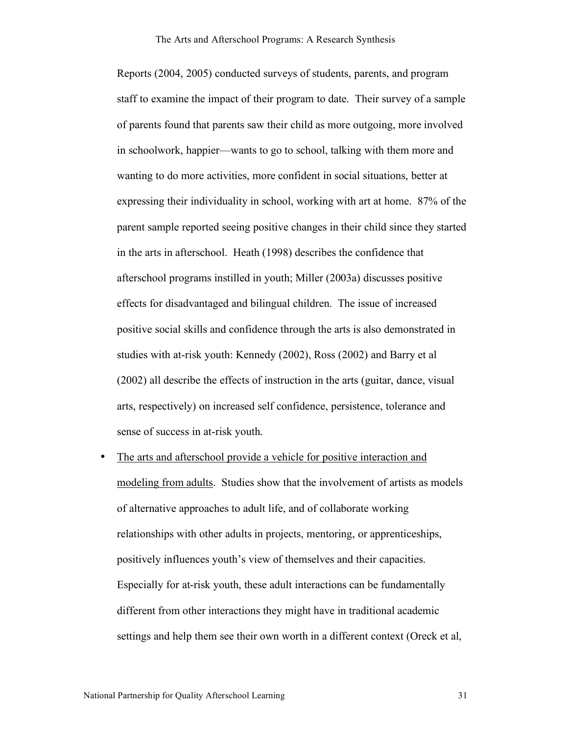Reports (2004, 2005) conducted surveys of students, parents, and program staff to examine the impact of their program to date. Their survey of a sample of parents found that parents saw their child as more outgoing, more involved in schoolwork, happier—wants to go to school, talking with them more and wanting to do more activities, more confident in social situations, better at expressing their individuality in school, working with art at home. 87% of the parent sample reported seeing positive changes in their child since they started in the arts in afterschool. Heath (1998) describes the confidence that afterschool programs instilled in youth; Miller (2003a) discusses positive effects for disadvantaged and bilingual children. The issue of increased positive social skills and confidence through the arts is also demonstrated in studies with at-risk youth: Kennedy (2002), Ross (2002) and Barry et al (2002) all describe the effects of instruction in the arts (guitar, dance, visual arts, respectively) on increased self confidence, persistence, tolerance and sense of success in at-risk youth.

• The arts and afterschool provide a vehicle for positive interaction and modeling from adults. Studies show that the involvement of artists as models of alternative approaches to adult life, and of collaborate working relationships with other adults in projects, mentoring, or apprenticeships, positively influences youth's view of themselves and their capacities. Especially for at-risk youth, these adult interactions can be fundamentally different from other interactions they might have in traditional academic settings and help them see their own worth in a different context (Oreck et al,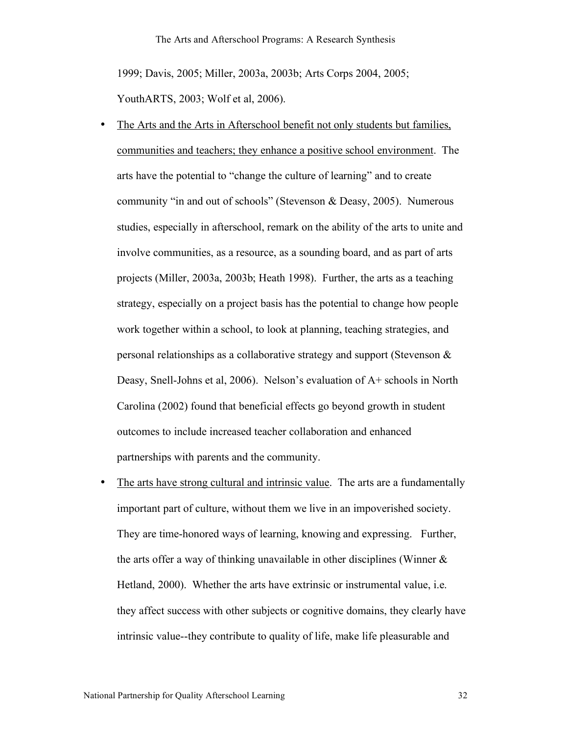1999; Davis, 2005; Miller, 2003a, 2003b; Arts Corps 2004, 2005; YouthARTS, 2003; Wolf et al, 2006).

- The Arts and the Arts in Afterschool benefit not only students but families, communities and teachers; they enhance a positive school environment. The arts have the potential to "change the culture of learning" and to create community "in and out of schools" (Stevenson & Deasy, 2005). Numerous studies, especially in afterschool, remark on the ability of the arts to unite and involve communities, as a resource, as a sounding board, and as part of arts projects (Miller, 2003a, 2003b; Heath 1998). Further, the arts as a teaching strategy, especially on a project basis has the potential to change how people work together within a school, to look at planning, teaching strategies, and personal relationships as a collaborative strategy and support (Stevenson & Deasy, Snell-Johns et al, 2006). Nelson's evaluation of A+ schools in North Carolina (2002) found that beneficial effects go beyond growth in student outcomes to include increased teacher collaboration and enhanced partnerships with parents and the community.
- The arts have strong cultural and intrinsic value. The arts are a fundamentally important part of culture, without them we live in an impoverished society. They are time-honored ways of learning, knowing and expressing. Further, the arts offer a way of thinking unavailable in other disciplines (Winner & Hetland, 2000). Whether the arts have extrinsic or instrumental value, i.e. they affect success with other subjects or cognitive domains, they clearly have intrinsic value--they contribute to quality of life, make life pleasurable and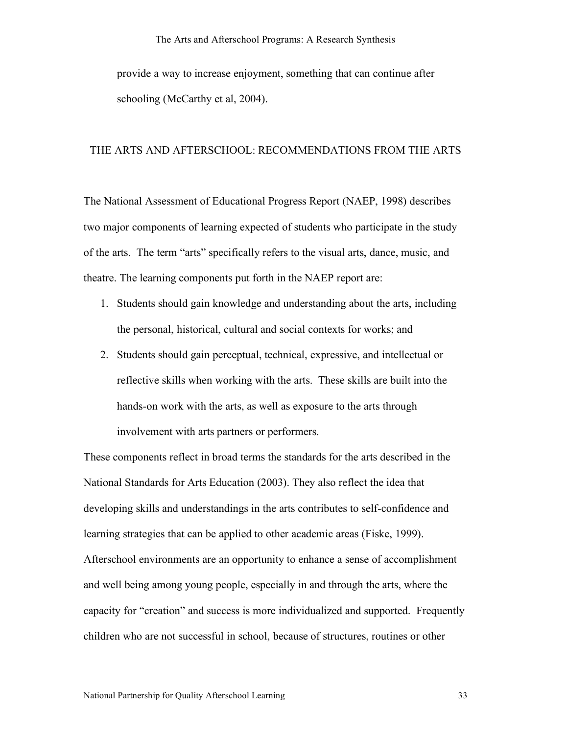provide a way to increase enjoyment, something that can continue after schooling (McCarthy et al, 2004).

## THE ARTS AND AFTERSCHOOL: RECOMMENDATIONS FROM THE ARTS

The National Assessment of Educational Progress Report (NAEP, 1998) describes two major components of learning expected of students who participate in the study of the arts. The term "arts" specifically refers to the visual arts, dance, music, and theatre. The learning components put forth in the NAEP report are:

- 1. Students should gain knowledge and understanding about the arts, including the personal, historical, cultural and social contexts for works; and
- 2. Students should gain perceptual, technical, expressive, and intellectual or reflective skills when working with the arts. These skills are built into the hands-on work with the arts, as well as exposure to the arts through involvement with arts partners or performers.

These components reflect in broad terms the standards for the arts described in the National Standards for Arts Education (2003). They also reflect the idea that developing skills and understandings in the arts contributes to self-confidence and learning strategies that can be applied to other academic areas (Fiske, 1999). Afterschool environments are an opportunity to enhance a sense of accomplishment and well being among young people, especially in and through the arts, where the capacity for "creation" and success is more individualized and supported. Frequently children who are not successful in school, because of structures, routines or other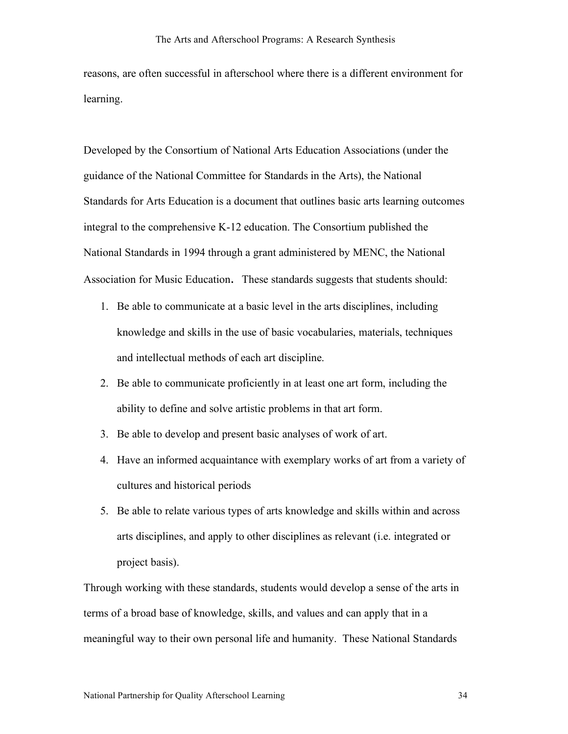reasons, are often successful in afterschool where there is a different environment for learning.

Developed by the Consortium of National Arts Education Associations (under the guidance of the National Committee for Standards in the Arts), the National Standards for Arts Education is a document that outlines basic arts learning outcomes integral to the comprehensive K-12 education. The Consortium published the National Standards in 1994 through a grant administered by MENC, the National Association for Music Education. These standards suggests that students should:

- 1. Be able to communicate at a basic level in the arts disciplines, including knowledge and skills in the use of basic vocabularies, materials, techniques and intellectual methods of each art discipline.
- 2. Be able to communicate proficiently in at least one art form, including the ability to define and solve artistic problems in that art form.
- 3. Be able to develop and present basic analyses of work of art.
- 4. Have an informed acquaintance with exemplary works of art from a variety of cultures and historical periods
- 5. Be able to relate various types of arts knowledge and skills within and across arts disciplines, and apply to other disciplines as relevant (i.e. integrated or project basis).

Through working with these standards, students would develop a sense of the arts in terms of a broad base of knowledge, skills, and values and can apply that in a meaningful way to their own personal life and humanity. These National Standards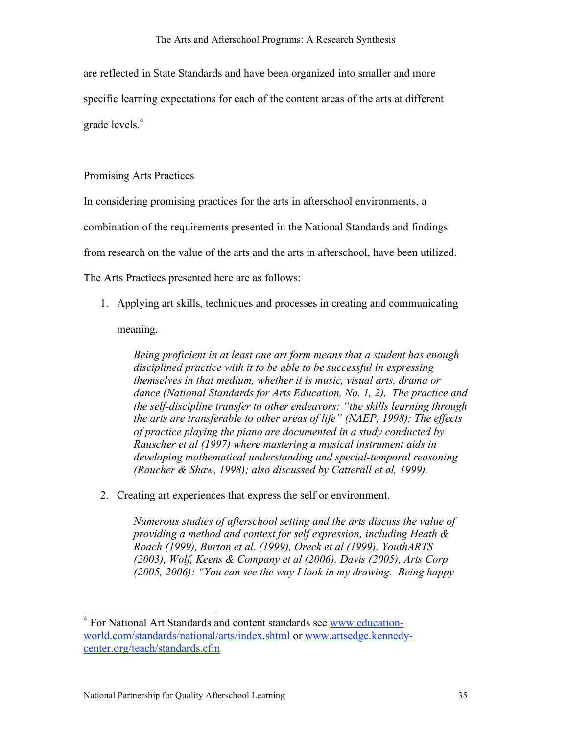are reflected in State Standards and have been organized into smaller and more specific learning expectations for each of the content areas of the arts at different grade levels. 4

# Promising Arts Practices

In considering promising practices for the arts in afterschool environments, a combination of the requirements presented in the National Standards and findings from research on the value of the arts and the arts in afterschool, have been utilized. The Arts Practices presented here are as follows:

1. Applying art skills, techniques and processes in creating and communicating meaning.

*Being proficient in at least one art form means that a student has enough disciplined practice with it to be able to be successful in expressing themselves in that medium, whether it is music, visual arts, drama or dance (National Standards for Arts Education, No. 1, 2). The practice and the self-discipline transfer to other endeavors: "the skills learning through the arts are transferable to other areas of life" (NAEP, 1998); The effects of practice playing the piano are documented in a study conducted by Rauscher et al (1997) where mastering a musical instrument aids in developing mathematical understanding and special-temporal reasoning (Raucher & Shaw, 1998); also discussed by Catterall et al, 1999).*

2. Creating art experiences that express the self or environment.

*Numerous studies of afterschool setting and the arts discuss the value of providing a method and context for self expression, including Heath & Roach (1999), Burton et al. (1999), Oreck et al (1999), YouthARTS (2003), Wolf, Keens & Company et al (2006), Davis (2005), Arts Corp (2005, 2006): "You can see the way I look in my drawing. Being happy*

<sup>&</sup>lt;sup>4</sup> For National Art Standards and content standards see www.educationworld.com/standards/national/arts/index.shtml or www.artsedge.kennedycenter.org/teach/standards.cfm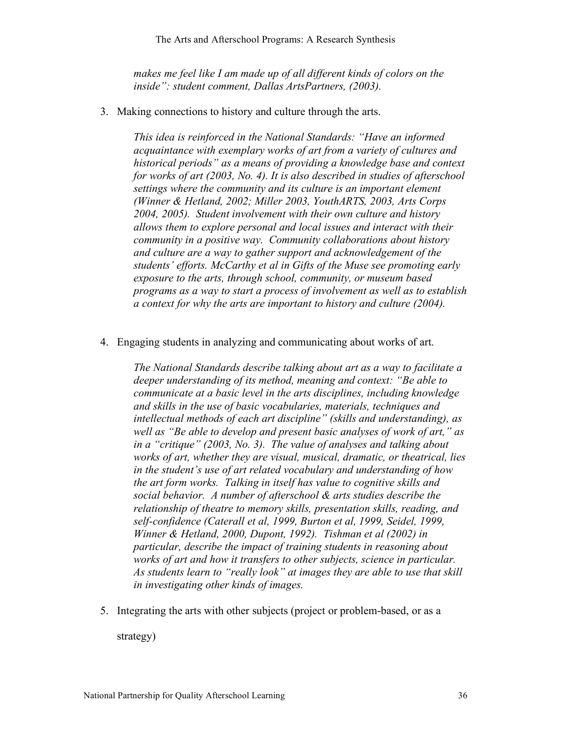*makes me feel like I am made up of all different kinds of colors on the inside": student comment, Dallas ArtsPartners, (2003).*

3. Making connections to history and culture through the arts.

*This idea is reinforced in the National Standards: "Have an informed acquaintance with exemplary works of art from a variety of cultures and historical periods" as a means of providing a knowledge base and context for works of art (2003, No. 4). It is also described in studies of afterschool settings where the community and its culture is an important element (Winner & Hetland, 2002; Miller 2003, YouthARTS, 2003, Arts Corps 2004, 2005). Student involvement with their own culture and history allows them to explore personal and local issues and interact with their community in a positive way. Community collaborations about history and culture are a way to gather support and acknowledgement of the students' efforts. McCarthy et al in Gifts of the Muse see promoting early exposure to the arts, through school, community, or museum based programs as a way to start a process of involvement as well as to establish a context for why the arts are important to history and culture (2004).*

4. Engaging students in analyzing and communicating about works of art.

*The National Standards describe talking about art as a way to facilitate a deeper understanding of its method, meaning and context: "Be able to communicate at a basic level in the arts disciplines, including knowledge and skills in the use of basic vocabularies, materials, techniques and intellectual methods of each art discipline" (skills and understanding), as well as "Be able to develop and present basic analyses of work of art," as in a "critique" (2003, No. 3). The value of analyses and talking about works of art, whether they are visual, musical, dramatic, or theatrical, lies in the student's use of art related vocabulary and understanding of how the art form works. Talking in itself has value to cognitive skills and social behavior. A number of afterschool & arts studies describe the relationship of theatre to memory skills, presentation skills, reading, and self-confidence (Caterall et al, 1999, Burton et al, 1999, Seidel, 1999, Winner & Hetland, 2000, Dupont, 1992). Tishman et al (2002) in particular, describe the impact of training students in reasoning about works of art and how it transfers to other subjects, science in particular. As students learn to "really look" at images they are able to use that skill in investigating other kinds of images.*

5. Integrating the arts with other subjects (project or problem-based, or as a

strategy)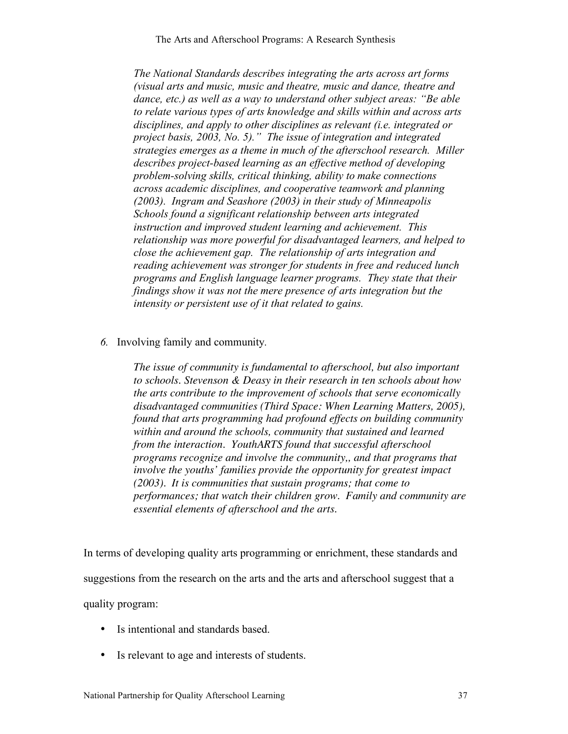*The National Standards describes integrating the arts across art forms (visual arts and music, music and theatre, music and dance, theatre and dance, etc.) as well as a way to understand other subject areas: "Be able to relate various types of arts knowledge and skills within and across arts disciplines, and apply to other disciplines as relevant (i.e. integrated or project basis, 2003, No. 5)." The issue of integration and integrated strategies emerges as a theme in much of the afterschool research. Miller describes project-based learning as an effective method of developing problem-solving skills, critical thinking, ability to make connections across academic disciplines, and cooperative teamwork and planning (2003). Ingram and Seashore (2003) in their study of Minneapolis Schools found a significant relationship between arts integrated instruction and improved student learning and achievement. This relationship was more powerful for disadvantaged learners, and helped to close the achievement gap. The relationship of arts integration and reading achievement was stronger for students in free and reduced lunch programs and English language learner programs. They state that their findings show it was not the mere presence of arts integration but the intensity or persistent use of it that related to gains.*

## *6.* Involving family and community*.*

*The issue of community is fundamental to afterschool, but also important to schools. Stevenson & Deasy in their research in ten schools about how the arts contribute to the improvement of schools that serve economically disadvantaged communities (Third Space: When Learning Matters, 2005), found that arts programming had profound effects on building community within and around the schools, community that sustained and learned from the interaction. YouthARTS found that successful afterschool programs recognize and involve the community,, and that programs that involve the youths' families provide the opportunity for greatest impact (2003). It is communities that sustain programs; that come to performances; that watch their children grow. Family and community are essential elements of afterschool and the arts.*

In terms of developing quality arts programming or enrichment, these standards and suggestions from the research on the arts and the arts and afterschool suggest that a quality program:

- Is intentional and standards based.
- Is relevant to age and interests of students.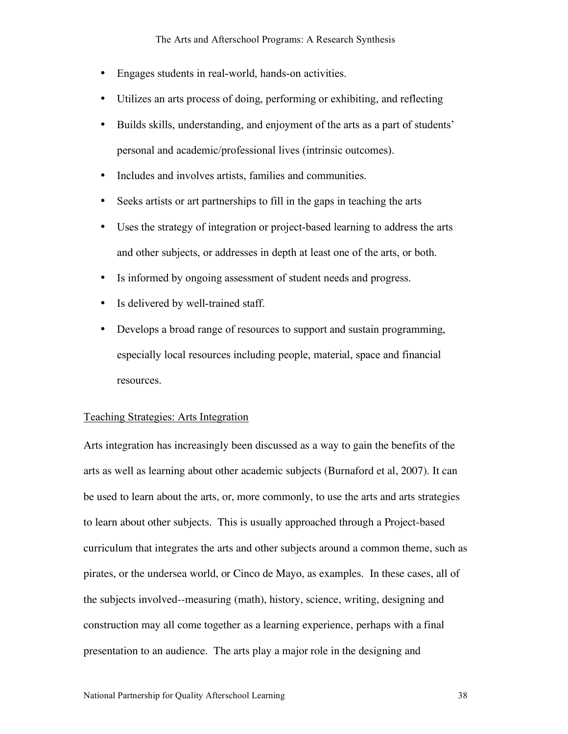- Engages students in real-world, hands-on activities.
- Utilizes an arts process of doing, performing or exhibiting, and reflecting
- Builds skills, understanding, and enjoyment of the arts as a part of students' personal and academic/professional lives (intrinsic outcomes).
- Includes and involves artists, families and communities.
- Seeks artists or art partnerships to fill in the gaps in teaching the arts
- Uses the strategy of integration or project-based learning to address the arts and other subjects, or addresses in depth at least one of the arts, or both.
- Is informed by ongoing assessment of student needs and progress.
- Is delivered by well-trained staff.
- Develops a broad range of resources to support and sustain programming, especially local resources including people, material, space and financial resources.

## Teaching Strategies: Arts Integration

Arts integration has increasingly been discussed as a way to gain the benefits of the arts as well as learning about other academic subjects (Burnaford et al, 2007). It can be used to learn about the arts, or, more commonly, to use the arts and arts strategies to learn about other subjects. This is usually approached through a Project-based curriculum that integrates the arts and other subjects around a common theme, such as pirates, or the undersea world, or Cinco de Mayo, as examples. In these cases, all of the subjects involved--measuring (math), history, science, writing, designing and construction may all come together as a learning experience, perhaps with a final presentation to an audience. The arts play a major role in the designing and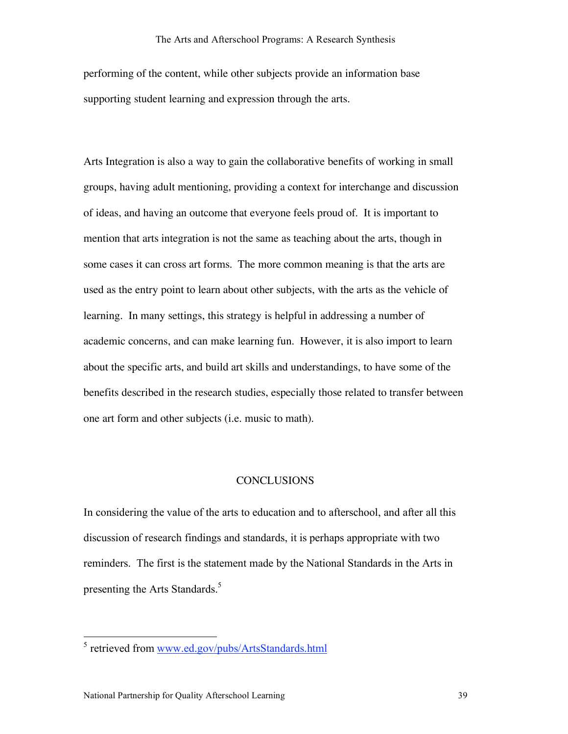performing of the content, while other subjects provide an information base supporting student learning and expression through the arts.

Arts Integration is also a way to gain the collaborative benefits of working in small groups, having adult mentioning, providing a context for interchange and discussion of ideas, and having an outcome that everyone feels proud of. It is important to mention that arts integration is not the same as teaching about the arts, though in some cases it can cross art forms. The more common meaning is that the arts are used as the entry point to learn about other subjects, with the arts as the vehicle of learning. In many settings, this strategy is helpful in addressing a number of academic concerns, and can make learning fun. However, it is also import to learn about the specific arts, and build art skills and understandings, to have some of the benefits described in the research studies, especially those related to transfer between one art form and other subjects (i.e. music to math).

## **CONCLUSIONS**

In considering the value of the arts to education and to afterschool, and after all this discussion of research findings and standards, it is perhaps appropriate with two reminders. The first is the statement made by the National Standards in the Arts in presenting the Arts Standards.<sup>5</sup>

 <sup>5</sup> retrieved from www.ed.gov/pubs/ArtsStandards.html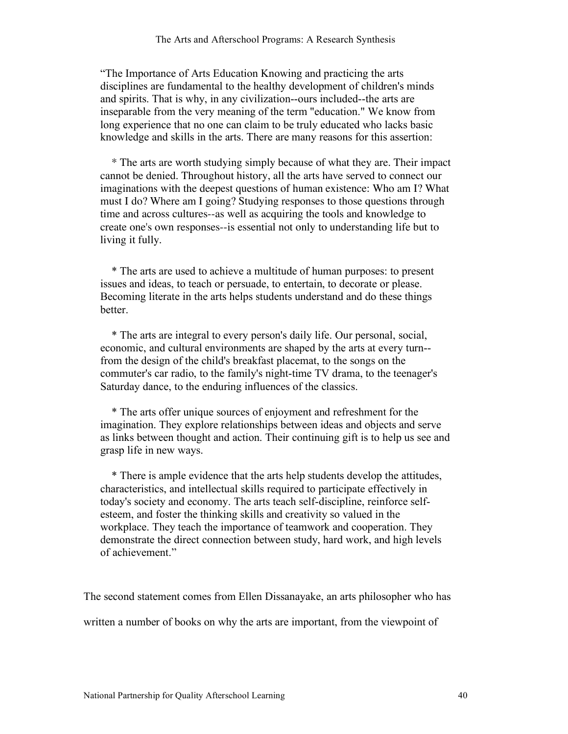"The Importance of Arts Education Knowing and practicing the arts disciplines are fundamental to the healthy development of children's minds and spirits. That is why, in any civilization--ours included--the arts are inseparable from the very meaning of the term "education." We know from long experience that no one can claim to be truly educated who lacks basic knowledge and skills in the arts. There are many reasons for this assertion:

\* The arts are worth studying simply because of what they are. Their impact cannot be denied. Throughout history, all the arts have served to connect our imaginations with the deepest questions of human existence: Who am I? What must I do? Where am I going? Studying responses to those questions through time and across cultures--as well as acquiring the tools and knowledge to create one's own responses--is essential not only to understanding life but to living it fully.

\* The arts are used to achieve a multitude of human purposes: to present issues and ideas, to teach or persuade, to entertain, to decorate or please. Becoming literate in the arts helps students understand and do these things better.

\* The arts are integral to every person's daily life. Our personal, social, economic, and cultural environments are shaped by the arts at every turn- from the design of the child's breakfast placemat, to the songs on the commuter's car radio, to the family's night-time TV drama, to the teenager's Saturday dance, to the enduring influences of the classics.

\* The arts offer unique sources of enjoyment and refreshment for the imagination. They explore relationships between ideas and objects and serve as links between thought and action. Their continuing gift is to help us see and grasp life in new ways.

\* There is ample evidence that the arts help students develop the attitudes, characteristics, and intellectual skills required to participate effectively in today's society and economy. The arts teach self-discipline, reinforce selfesteem, and foster the thinking skills and creativity so valued in the workplace. They teach the importance of teamwork and cooperation. They demonstrate the direct connection between study, hard work, and high levels of achievement."

The second statement comes from Ellen Dissanayake, an arts philosopher who has

written a number of books on why the arts are important, from the viewpoint of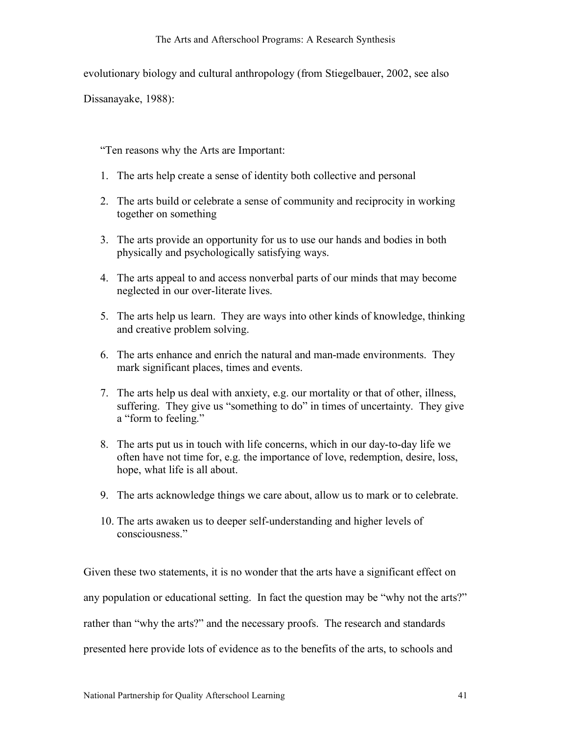evolutionary biology and cultural anthropology (from Stiegelbauer, 2002, see also

Dissanayake, 1988):

"Ten reasons why the Arts are Important:

- 1. The arts help create a sense of identity both collective and personal
- 2. The arts build or celebrate a sense of community and reciprocity in working together on something
- 3. The arts provide an opportunity for us to use our hands and bodies in both physically and psychologically satisfying ways.
- 4. The arts appeal to and access nonverbal parts of our minds that may become neglected in our over-literate lives.
- 5. The arts help us learn. They are ways into other kinds of knowledge, thinking and creative problem solving.
- 6. The arts enhance and enrich the natural and man-made environments. They mark significant places, times and events.
- 7. The arts help us deal with anxiety, e.g. our mortality or that of other, illness, suffering. They give us "something to do" in times of uncertainty. They give a "form to feeling."
- 8. The arts put us in touch with life concerns, which in our day-to-day life we often have not time for, e.g. the importance of love, redemption, desire, loss, hope, what life is all about.
- 9. The arts acknowledge things we care about, allow us to mark or to celebrate.
- 10. The arts awaken us to deeper self-understanding and higher levels of consciousness."

Given these two statements, it is no wonder that the arts have a significant effect on any population or educational setting. In fact the question may be "why not the arts?" rather than "why the arts?" and the necessary proofs. The research and standards presented here provide lots of evidence as to the benefits of the arts, to schools and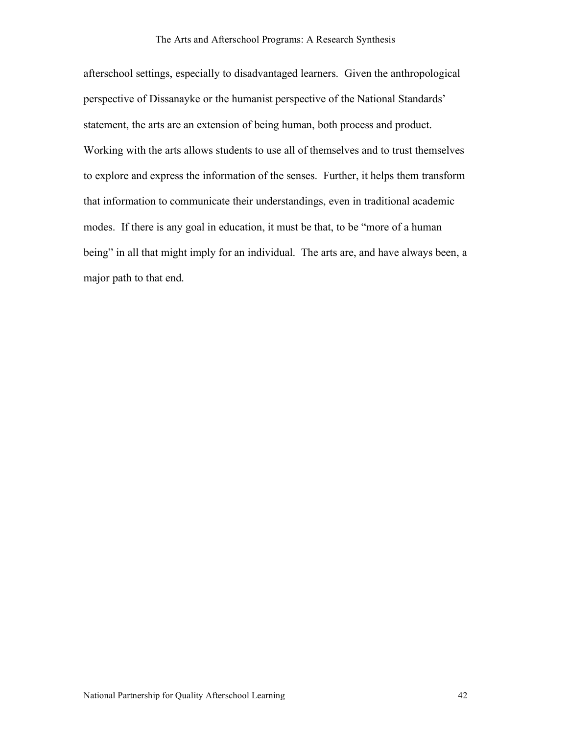afterschool settings, especially to disadvantaged learners. Given the anthropological perspective of Dissanayke or the humanist perspective of the National Standards' statement, the arts are an extension of being human, both process and product. Working with the arts allows students to use all of themselves and to trust themselves to explore and express the information of the senses. Further, it helps them transform that information to communicate their understandings, even in traditional academic modes. If there is any goal in education, it must be that, to be "more of a human being" in all that might imply for an individual. The arts are, and have always been, a major path to that end.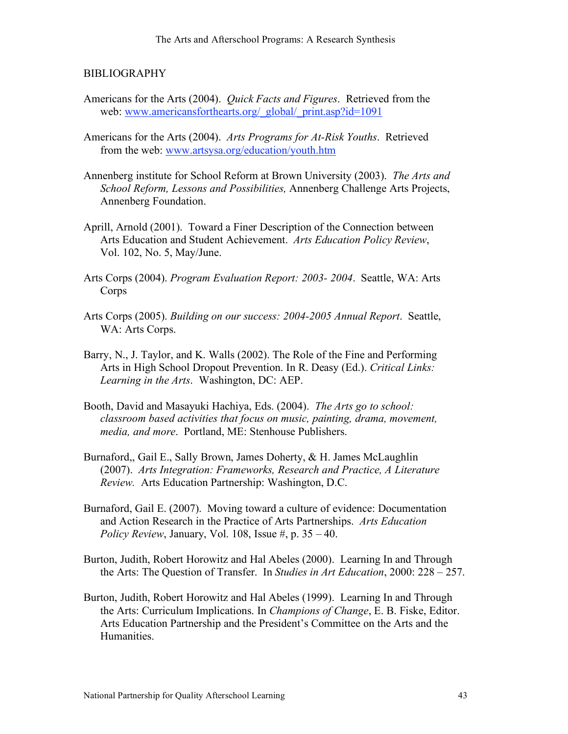# BIBLIOGRAPHY

- Americans for the Arts (2004). *Quick Facts and Figures*. Retrieved from the web: www.americansforthearts.org/\_global/\_print.asp?id=1091
- Americans for the Arts (2004). *Arts Programs for At-Risk Youths*. Retrieved from the web: www.artsysa.org/education/youth.htm
- Annenberg institute for School Reform at Brown University (2003). *The Arts and School Reform, Lessons and Possibilities,* Annenberg Challenge Arts Projects, Annenberg Foundation.
- Aprill, Arnold (2001). Toward a Finer Description of the Connection between Arts Education and Student Achievement. *Arts Education Policy Review*, Vol. 102, No. 5, May/June.
- Arts Corps (2004). *Program Evaluation Report: 2003- 2004*. Seattle, WA: Arts Corps
- Arts Corps (2005). *Building on our success: 2004-2005 Annual Report*. Seattle, WA: Arts Corps.
- Barry, N., J. Taylor, and K. Walls (2002). The Role of the Fine and Performing Arts in High School Dropout Prevention. In R. Deasy (Ed.). *Critical Links: Learning in the Arts*. Washington, DC: AEP.
- Booth, David and Masayuki Hachiya, Eds. (2004). *The Arts go to school: classroom based activities that focus on music, painting, drama, movement, media, and more*. Portland, ME: Stenhouse Publishers.
- Burnaford,, Gail E., Sally Brown, James Doherty, & H. James McLaughlin (2007). *Arts Integration: Frameworks, Research and Practice, A Literature Review.* Arts Education Partnership: Washington, D.C.
- Burnaford, Gail E. (2007). Moving toward a culture of evidence: Documentation and Action Research in the Practice of Arts Partnerships. *Arts Education Policy Review*, January, Vol. 108, Issue #, p. 35 – 40.
- Burton, Judith, Robert Horowitz and Hal Abeles (2000). Learning In and Through the Arts: The Question of Transfer. In *Studies in Art Education*, 2000: 228 – 257.
- Burton, Judith, Robert Horowitz and Hal Abeles (1999). Learning In and Through the Arts: Curriculum Implications. In *Champions of Change*, E. B. Fiske, Editor. Arts Education Partnership and the President's Committee on the Arts and the Humanities.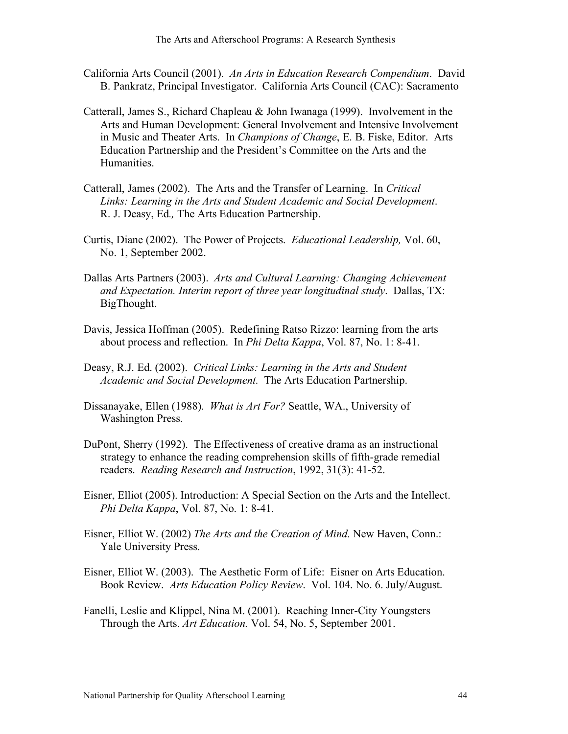- California Arts Council (2001). *An Arts in Education Research Compendium*. David B. Pankratz, Principal Investigator. California Arts Council (CAC): Sacramento
- Catterall, James S., Richard Chapleau & John Iwanaga (1999). Involvement in the Arts and Human Development: General Involvement and Intensive Involvement in Music and Theater Arts. In *Champions of Change*, E. B. Fiske, Editor. Arts Education Partnership and the President's Committee on the Arts and the Humanities.
- Catterall, James (2002). The Arts and the Transfer of Learning. In *Critical Links: Learning in the Arts and Student Academic and Social Development*. R. J. Deasy, Ed*.,* The Arts Education Partnership.
- Curtis, Diane (2002). The Power of Projects. *Educational Leadership,* Vol. 60, No. 1, September 2002.
- Dallas Arts Partners (2003). *Arts and Cultural Learning: Changing Achievement and Expectation. Interim report of three year longitudinal study*. Dallas, TX: BigThought.
- Davis, Jessica Hoffman (2005). Redefining Ratso Rizzo: learning from the arts about process and reflection. In *Phi Delta Kappa*, Vol. 87, No. 1: 8-41.
- Deasy, R.J. Ed. (2002). *Critical Links: Learning in the Arts and Student Academic and Social Development.* The Arts Education Partnership.
- Dissanayake, Ellen (1988). *What is Art For?* Seattle, WA., University of Washington Press.
- DuPont, Sherry (1992). The Effectiveness of creative drama as an instructional strategy to enhance the reading comprehension skills of fifth-grade remedial readers. *Reading Research and Instruction*, 1992, 31(3): 41-52.
- Eisner, Elliot (2005). Introduction: A Special Section on the Arts and the Intellect. *Phi Delta Kappa*, Vol. 87, No. 1: 8-41.
- Eisner, Elliot W. (2002) *The Arts and the Creation of Mind.* New Haven, Conn.: Yale University Press.
- Eisner, Elliot W. (2003). The Aesthetic Form of Life: Eisner on Arts Education. Book Review. *Arts Education Policy Review*. Vol. 104. No. 6. July/August.
- Fanelli, Leslie and Klippel, Nina M. (2001). Reaching Inner-City Youngsters Through the Arts. *Art Education.* Vol. 54, No. 5, September 2001.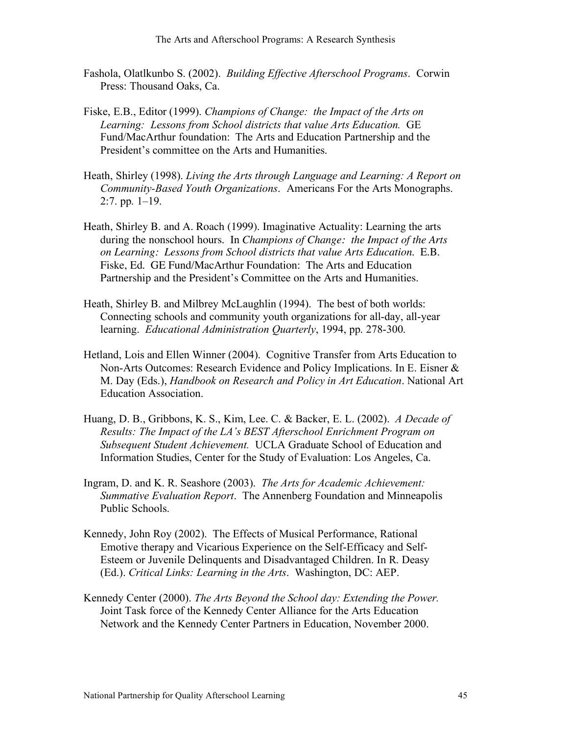- Fashola, Olatlkunbo S. (2002). *Building Effective Afterschool Programs*. Corwin Press: Thousand Oaks, Ca.
- Fiske, E.B., Editor (1999). *Champions of Change: the Impact of the Arts on Learning: Lessons from School districts that value Arts Education.* GE Fund/MacArthur foundation: The Arts and Education Partnership and the President's committee on the Arts and Humanities.
- Heath, Shirley (1998). *Living the Arts through Language and Learning: A Report on Community-Based Youth Organizations*. Americans For the Arts Monographs. 2:7. pp. 1–19.
- Heath, Shirley B. and A. Roach (1999). Imaginative Actuality: Learning the arts during the nonschool hours. In *Champions of Change: the Impact of the Arts on Learning: Lessons from School districts that value Arts Education.* E.B. Fiske, Ed. GE Fund/MacArthur Foundation: The Arts and Education Partnership and the President's Committee on the Arts and Humanities.
- Heath, Shirley B. and Milbrey McLaughlin (1994). The best of both worlds: Connecting schools and community youth organizations for all-day, all-year learning. *Educational Administration Quarterly*, 1994, pp. 278-300.
- Hetland, Lois and Ellen Winner (2004). Cognitive Transfer from Arts Education to Non-Arts Outcomes: Research Evidence and Policy Implications. In E. Eisner & M. Day (Eds.), *Handbook on Research and Policy in Art Education*. National Art Education Association.
- Huang, D. B., Gribbons, K. S., Kim, Lee. C. & Backer, E. L. (2002). *A Decade of Results: The Impact of the LA's BEST Afterschool Enrichment Program on Subsequent Student Achievement.* UCLA Graduate School of Education and Information Studies, Center for the Study of Evaluation: Los Angeles, Ca.
- Ingram, D. and K. R. Seashore (2003). *The Arts for Academic Achievement: Summative Evaluation Report*. The Annenberg Foundation and Minneapolis Public Schools.
- Kennedy, John Roy (2002). The Effects of Musical Performance, Rational Emotive therapy and Vicarious Experience on the Self-Efficacy and Self-Esteem or Juvenile Delinquents and Disadvantaged Children. In R. Deasy (Ed.). *Critical Links: Learning in the Arts*. Washington, DC: AEP.
- Kennedy Center (2000). *The Arts Beyond the School day: Extending the Power.* Joint Task force of the Kennedy Center Alliance for the Arts Education Network and the Kennedy Center Partners in Education, November 2000.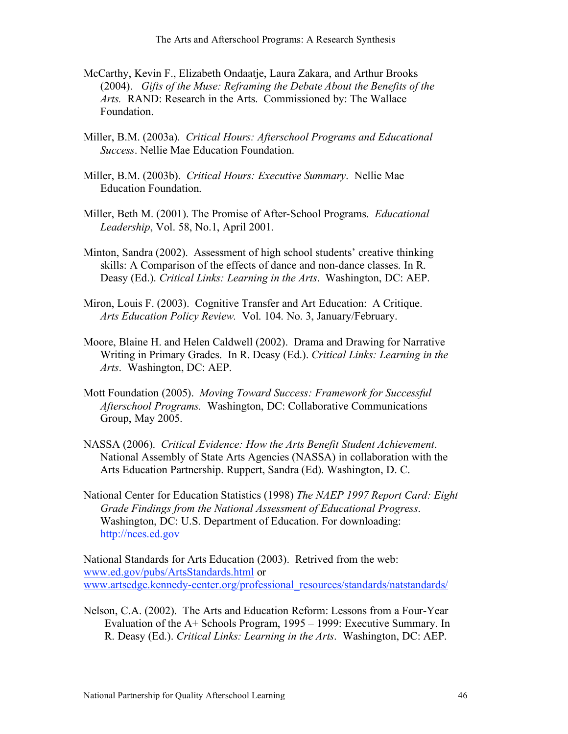- McCarthy, Kevin F., Elizabeth Ondaatje, Laura Zakara, and Arthur Brooks (2004). *Gifts of the Muse: Reframing the Debate About the Benefits of the Arts.* RAND: Research in the Arts. Commissioned by: The Wallace Foundation.
- Miller, B.M. (2003a). *Critical Hours: Afterschool Programs and Educational Success*. Nellie Mae Education Foundation.
- Miller, B.M. (2003b). *Critical Hours: Executive Summary*. Nellie Mae Education Foundation.
- Miller, Beth M. (2001). The Promise of After-School Programs. *Educational Leadership*, Vol. 58, No.1, April 2001.
- Minton, Sandra (2002). Assessment of high school students' creative thinking skills: A Comparison of the effects of dance and non-dance classes. In R. Deasy (Ed.). *Critical Links: Learning in the Arts*. Washington, DC: AEP.
- Miron, Louis F. (2003). Cognitive Transfer and Art Education: A Critique. *Arts Education Policy Review.* Vol. 104. No. 3, January/February.
- Moore, Blaine H. and Helen Caldwell (2002). Drama and Drawing for Narrative Writing in Primary Grades. In R. Deasy (Ed.). *Critical Links: Learning in the Arts*. Washington, DC: AEP.
- Mott Foundation (2005). *Moving Toward Success: Framework for Successful Afterschool Programs.* Washington, DC: Collaborative Communications Group, May 2005.
- NASSA (2006). *Critical Evidence: How the Arts Benefit Student Achievement*. National Assembly of State Arts Agencies (NASSA) in collaboration with the Arts Education Partnership. Ruppert, Sandra (Ed). Washington, D. C.
- National Center for Education Statistics (1998) *The NAEP 1997 Report Card: Eight Grade Findings from the National Assessment of Educational Progress*. Washington, DC: U.S. Department of Education. For downloading: http://nces.ed.gov

National Standards for Arts Education (2003). Retrived from the web: www.ed.gov/pubs/ArtsStandards.html or www.artsedge.kennedy-center.org/professional\_resources/standards/natstandards/

Nelson, C.A. (2002). The Arts and Education Reform: Lessons from a Four-Year Evaluation of the A+ Schools Program, 1995 – 1999: Executive Summary. In R. Deasy (Ed.). *Critical Links: Learning in the Arts*. Washington, DC: AEP.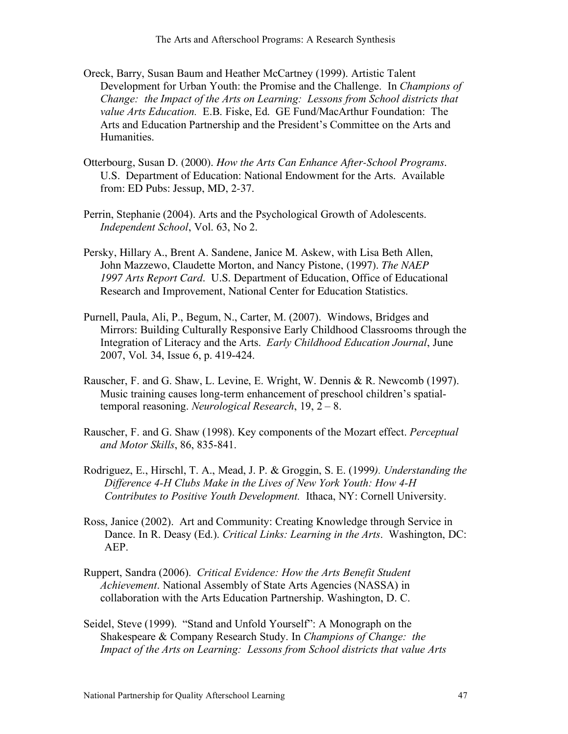- Oreck, Barry, Susan Baum and Heather McCartney (1999). Artistic Talent Development for Urban Youth: the Promise and the Challenge. In *Champions of Change: the Impact of the Arts on Learning: Lessons from School districts that value Arts Education.* E.B. Fiske, Ed. GE Fund/MacArthur Foundation: The Arts and Education Partnership and the President's Committee on the Arts and Humanities.
- Otterbourg, Susan D. (2000). *How the Arts Can Enhance After-School Programs*. U.S. Department of Education: National Endowment for the Arts. Available from: ED Pubs: Jessup, MD, 2-37.
- Perrin, Stephanie (2004). Arts and the Psychological Growth of Adolescents. *Independent School*, Vol. 63, No 2.
- Persky, Hillary A., Brent A. Sandene, Janice M. Askew, with Lisa Beth Allen, John Mazzewo, Claudette Morton, and Nancy Pistone, (1997). *The NAEP 1997 Arts Report Card*. U.S. Department of Education, Office of Educational Research and Improvement, National Center for Education Statistics.
- Purnell, Paula, Ali, P., Begum, N., Carter, M. (2007). Windows, Bridges and Mirrors: Building Culturally Responsive Early Childhood Classrooms through the Integration of Literacy and the Arts. *Early Childhood Education Journal*, June 2007, Vol. 34, Issue 6, p. 419-424.
- Rauscher, F. and G. Shaw, L. Levine, E. Wright, W. Dennis & R. Newcomb (1997). Music training causes long-term enhancement of preschool children's spatialtemporal reasoning. *Neurological Research*, 19, 2 – 8.
- Rauscher, F. and G. Shaw (1998). Key components of the Mozart effect. *Perceptual and Motor Skills*, 86, 835-841.
- Rodriguez, E., Hirschl, T. A., Mead, J. P. & Groggin, S. E. (1999*). Understanding the Difference 4-H Clubs Make in the Lives of New York Youth: How 4-H Contributes to Positive Youth Development.* Ithaca, NY: Cornell University.
- Ross, Janice (2002). Art and Community: Creating Knowledge through Service in Dance. In R. Deasy (Ed.). *Critical Links: Learning in the Arts*. Washington, DC: AEP.
- Ruppert, Sandra (2006). *Critical Evidence: How the Arts Benefit Student Achievement*. National Assembly of State Arts Agencies (NASSA) in collaboration with the Arts Education Partnership. Washington, D. C.
- Seidel, Steve (1999). "Stand and Unfold Yourself": A Monograph on the Shakespeare & Company Research Study. In *Champions of Change: the Impact of the Arts on Learning: Lessons from School districts that value Arts*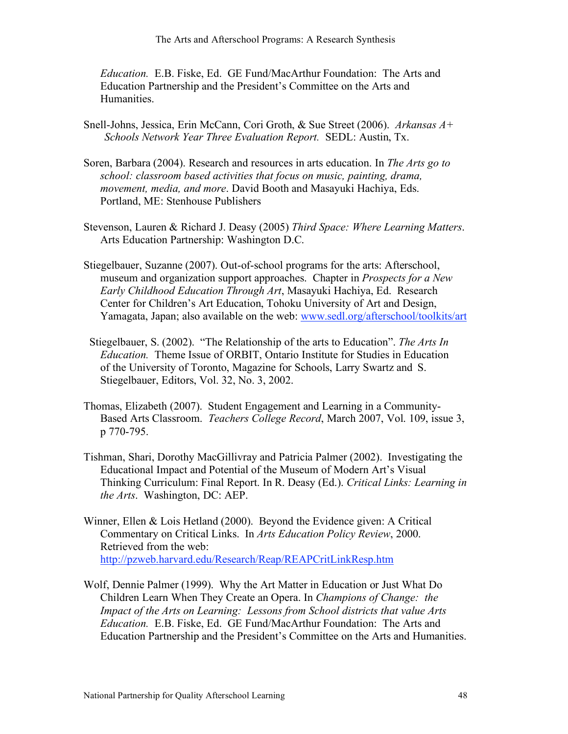*Education.* E.B. Fiske, Ed. GE Fund/MacArthur Foundation: The Arts and Education Partnership and the President's Committee on the Arts and Humanities.

- Snell-Johns, Jessica, Erin McCann, Cori Groth, & Sue Street (2006). *Arkansas A+ Schools Network Year Three Evaluation Report.* SEDL: Austin, Tx.
- Soren, Barbara (2004). Research and resources in arts education. In *The Arts go to school: classroom based activities that focus on music, painting, drama, movement, media, and more*. David Booth and Masayuki Hachiya, Eds. Portland, ME: Stenhouse Publishers
- Stevenson, Lauren & Richard J. Deasy (2005) *Third Space: Where Learning Matters*. Arts Education Partnership: Washington D.C.
- Stiegelbauer, Suzanne (2007). Out-of-school programs for the arts: Afterschool, museum and organization support approaches. Chapter in *Prospects for a New Early Childhood Education Through Art*, Masayuki Hachiya, Ed. Research Center for Children's Art Education, Tohoku University of Art and Design, Yamagata, Japan; also available on the web: www.sedl.org/afterschool/toolkits/art
- Stiegelbauer, S. (2002). "The Relationship of the arts to Education". *The Arts In Education.* Theme Issue of ORBIT, Ontario Institute for Studies in Education of the University of Toronto, Magazine for Schools, Larry Swartz and S. Stiegelbauer, Editors, Vol. 32, No. 3, 2002.
- Thomas, Elizabeth (2007). Student Engagement and Learning in a Community-Based Arts Classroom. *Teachers College Record*, March 2007, Vol. 109, issue 3, p 770-795.
- Tishman, Shari, Dorothy MacGillivray and Patricia Palmer (2002). Investigating the Educational Impact and Potential of the Museum of Modern Art's Visual Thinking Curriculum: Final Report. In R. Deasy (Ed.). *Critical Links: Learning in the Arts*. Washington, DC: AEP.
- Winner, Ellen & Lois Hetland (2000). Beyond the Evidence given: A Critical Commentary on Critical Links. In *Arts Education Policy Review*, 2000. Retrieved from the web: http://pzweb.harvard.edu/Research/Reap/REAPCritLinkResp.htm
- Wolf, Dennie Palmer (1999). Why the Art Matter in Education or Just What Do Children Learn When They Create an Opera. In *Champions of Change: the Impact of the Arts on Learning: Lessons from School districts that value Arts Education.* E.B. Fiske, Ed. GE Fund/MacArthur Foundation: The Arts and Education Partnership and the President's Committee on the Arts and Humanities.